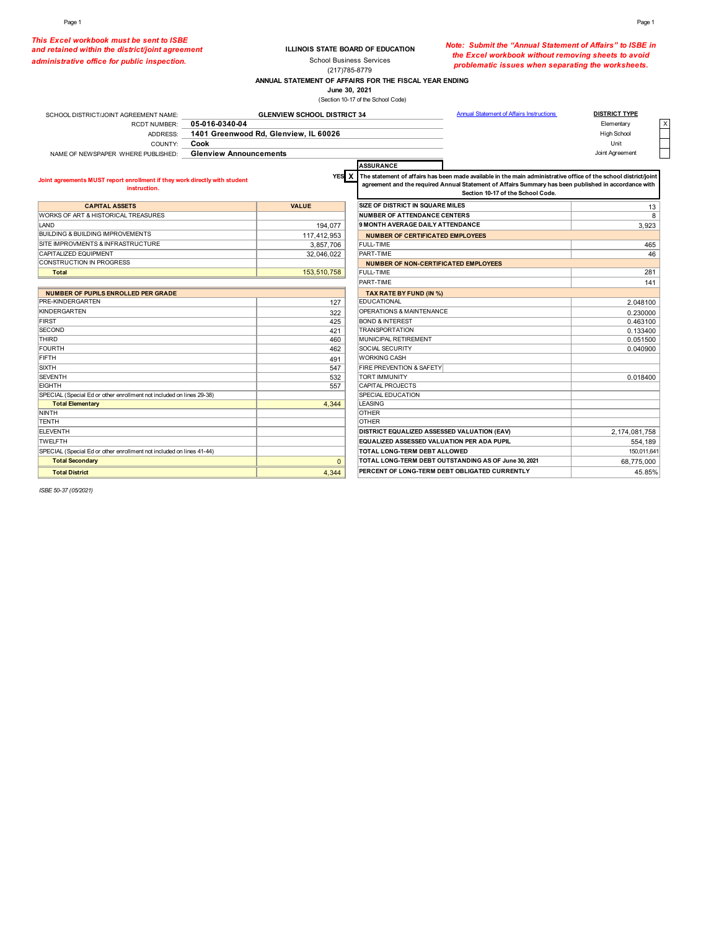*This Excel workbook must be sent to ISBE and retained within the district/joint agreement administrative office for public inspection.* 

### **ILLINOIS STATE BOARD OF EDUCATION** School Business Services

*Note: Submit the "Annual Statement of Affairs" to ISBE in the Excel workbook without removing sheets to avoid problematic issues when separating the worksheets.* 

**ANNUAL STATEMENT OF AFFAIRS FOR THE FISCAL YEAR ENDING** (217)785-8779

**June 30, 2021**

(Section 10-17 of the School Code)

| SCHOOL DISTRICT/JOINT AGREEMENT NAME:                                                      | <b>GLENVIEW SCHOOL DISTRICT 34</b>    | <b>Annual Statement of Affairs Instructions</b>                                                                                                                                                                                                              | <b>DISTRICT TYPE</b> |  |
|--------------------------------------------------------------------------------------------|---------------------------------------|--------------------------------------------------------------------------------------------------------------------------------------------------------------------------------------------------------------------------------------------------------------|----------------------|--|
| <b>RCDT NUMBER:</b>                                                                        | 05-016-0340-04                        |                                                                                                                                                                                                                                                              | Elementary           |  |
| ADDRESS:                                                                                   | 1401 Greenwood Rd, Glenview, IL 60026 |                                                                                                                                                                                                                                                              | High School          |  |
| Cook<br>COUNTY:                                                                            |                                       |                                                                                                                                                                                                                                                              | Unit                 |  |
| NAME OF NEWSPAPER WHERE PUBLISHED:                                                         | <b>Glenview Announcements</b>         |                                                                                                                                                                                                                                                              | Joint Agreement      |  |
|                                                                                            |                                       | <b>ASSURANCE</b>                                                                                                                                                                                                                                             |                      |  |
| Joint agreements MUST report enrollment if they work directly with student<br>instruction. | YES X                                 | The statement of affairs has been made available in the main administrative office of the school district/joint<br>agreement and the required Annual Statement of Affairs Summary has been published in accordance with<br>Section 10-17 of the School Code. |                      |  |
| <b>CAPITAL ASSETS</b>                                                                      | <b>VALUE</b>                          | <b>SIZE OF DISTRICT IN SQUARE MILES</b>                                                                                                                                                                                                                      | 13                   |  |
| WORKS OF ART & HISTORICAL TREASURES                                                        |                                       | <b>NUMBER OF ATTENDANCE CENTERS</b>                                                                                                                                                                                                                          | 8                    |  |
| LAND                                                                                       | 194,077                               | 9 MONTH AVERAGE DAILY ATTENDANCE                                                                                                                                                                                                                             | 3,923                |  |
| BUILDING & BUILDING IMPROVEMENTS                                                           | 117.412.953                           | <b>NUMBER OF CERTIFICATED EMPLOYEES</b>                                                                                                                                                                                                                      |                      |  |
| SITE IMPROVMENTS & INFRASTRUCTURE                                                          | 3,857,706                             | FULL-TIME                                                                                                                                                                                                                                                    | 465                  |  |
| CAPITALIZED EQUIPMENT                                                                      | 32,046,022                            | PART-TIME                                                                                                                                                                                                                                                    | 46                   |  |
| <b>CONSTRUCTION IN PROGRESS</b>                                                            |                                       | <b>NUMBER OF NON-CERTIFICATED EMPLOYEES</b>                                                                                                                                                                                                                  |                      |  |
| <b>Total</b>                                                                               | 153.510.758                           | <b>FULL-TIME</b>                                                                                                                                                                                                                                             | 281                  |  |
|                                                                                            |                                       | PART-TIME                                                                                                                                                                                                                                                    | 141                  |  |
| <b>NUMBER OF PUPILS ENROLLED PER GRADE</b>                                                 |                                       | TAX RATE BY FUND (IN %)                                                                                                                                                                                                                                      |                      |  |
| PRE-KINDERGARTEN                                                                           | 127                                   | <b>EDUCATIONAL</b>                                                                                                                                                                                                                                           | 2.048100             |  |
| KINDERGARTEN                                                                               | 322                                   | OPERATIONS & MAINTENANCE                                                                                                                                                                                                                                     | 0.230000             |  |
| FIRST                                                                                      | 425                                   | <b>BOND &amp; INTEREST</b>                                                                                                                                                                                                                                   | 0.463100             |  |
| <b>SECOND</b>                                                                              | 421                                   | <b>TRANSPORTATION</b>                                                                                                                                                                                                                                        | 0.133400             |  |
| <b>THIRD</b>                                                                               | 460                                   | MUNICIPAL RETIREMENT                                                                                                                                                                                                                                         | 0.051500             |  |
| <b>FOURTH</b>                                                                              | 462                                   | SOCIAL SECURITY                                                                                                                                                                                                                                              | 0.040900             |  |
| <b>FIFTH</b>                                                                               | 491                                   | <b>WORKING CASH</b>                                                                                                                                                                                                                                          |                      |  |
| <b>SIXTH</b>                                                                               | 547                                   | FIRE PREVENTION & SAFETY                                                                                                                                                                                                                                     |                      |  |
| <b>SEVENTH</b>                                                                             | 532                                   | <b>TORT IMMUNITY</b>                                                                                                                                                                                                                                         | 0.018400             |  |
| <b>EIGHTH</b>                                                                              | 557                                   | CAPITAL PROJECTS                                                                                                                                                                                                                                             |                      |  |
| SPECIAL (Special Ed or other enrollment not included on lines 29-38)                       |                                       | SPECIAL EDUCATION                                                                                                                                                                                                                                            |                      |  |
| <b>Total Elementary</b>                                                                    | 4.344                                 | <b>LEASING</b>                                                                                                                                                                                                                                               |                      |  |
| NINTH                                                                                      |                                       | <b>OTHER</b>                                                                                                                                                                                                                                                 |                      |  |
| <b>TENTH</b>                                                                               |                                       | <b>OTHER</b>                                                                                                                                                                                                                                                 |                      |  |
| <b>ELEVENTH</b>                                                                            |                                       | DISTRICT EQUALIZED ASSESSED VALUATION (EAV)                                                                                                                                                                                                                  | 2,174,081,758        |  |
| <b>TWELFTH</b>                                                                             |                                       | EQUALIZED ASSESSED VALUATION PER ADA PUPIL                                                                                                                                                                                                                   | 554,189              |  |
| SPECIAL (Special Ed or other enrollment not included on lines 41-44)                       |                                       | TOTAL LONG-TERM DEBT ALLOWED                                                                                                                                                                                                                                 | 150,011,641          |  |
| <b>Total Secondary</b>                                                                     | $\mathbf{0}$                          | TOTAL LONG-TERM DEBT OUTSTANDING AS OF June 30, 2021                                                                                                                                                                                                         | 68,775,000           |  |
| <b>Total District</b>                                                                      | 4,344                                 | PERCENT OF LONG-TERM DEBT OBLIGATED CURRENTLY                                                                                                                                                                                                                | 45.85%               |  |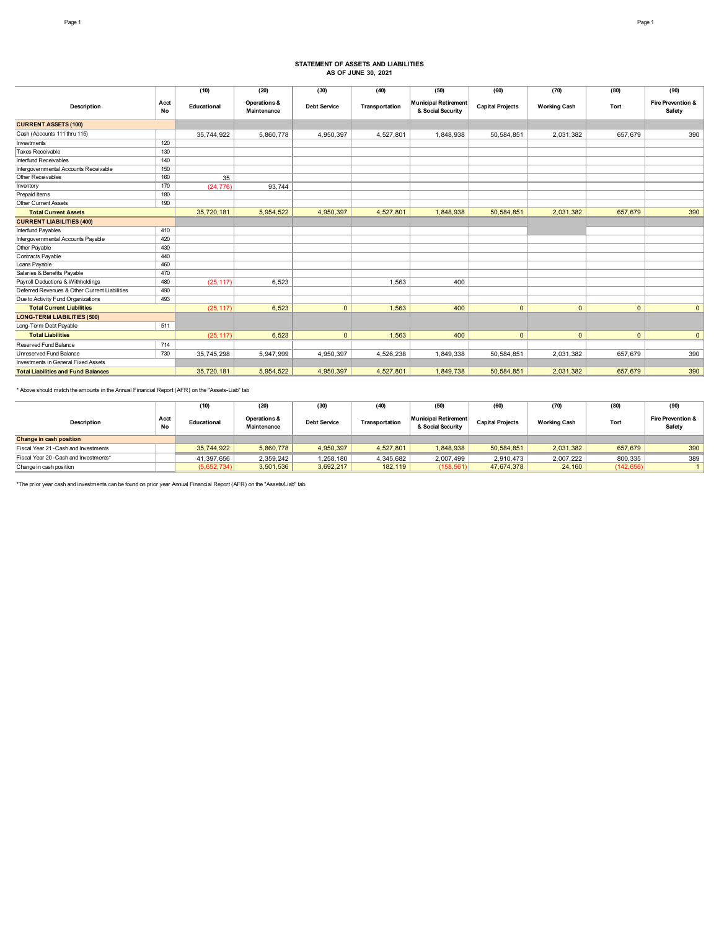## **STATEMENT OF ASSETS AND LIABILITIES AS OF JUNE 30, 2021**

|                                               |            | (10)        | (20)                        | (30)                | (40)           | (50)                                             | (60)                    | (70)                | (80)         | (90)                                   |
|-----------------------------------------------|------------|-------------|-----------------------------|---------------------|----------------|--------------------------------------------------|-------------------------|---------------------|--------------|----------------------------------------|
| <b>Description</b>                            | Acct<br>No | Educational | Operations &<br>Maintenance | <b>Debt Service</b> | Transportation | <b>Municipal Retirement</b><br>& Social Security | <b>Capital Projects</b> | <b>Working Cash</b> | Tort         | <b>Fire Prevention &amp;</b><br>Safety |
| <b>CURRENT ASSETS (100)</b>                   |            |             |                             |                     |                |                                                  |                         |                     |              |                                        |
| Cash (Accounts 111 thru 115)                  |            | 35,744,922  | 5,860,778                   | 4,950,397           | 4,527,801      | 1,848,938                                        | 50,584,851              | 2,031,382           | 657,679      | 390                                    |
| Investments                                   | 120        |             |                             |                     |                |                                                  |                         |                     |              |                                        |
| Taxes Receivable                              | 130        |             |                             |                     |                |                                                  |                         |                     |              |                                        |
| Interfund Receivables                         | 140        |             |                             |                     |                |                                                  |                         |                     |              |                                        |
| Intergovernmental Accounts Receivable         | 150        |             |                             |                     |                |                                                  |                         |                     |              |                                        |
| Other Receivables                             | 160        | 35          |                             |                     |                |                                                  |                         |                     |              |                                        |
| Inventory                                     | 170        | (24, 776)   | 93,744                      |                     |                |                                                  |                         |                     |              |                                        |
| Prepaid Items                                 | 180        |             |                             |                     |                |                                                  |                         |                     |              |                                        |
| <b>Other Current Assets</b>                   | 190        |             |                             |                     |                |                                                  |                         |                     |              |                                        |
| <b>Total Current Assets</b>                   |            | 35,720,181  | 5,954,522                   | 4.950.397           | 4,527,801      | 1,848,938                                        | 50,584,851              | 2,031,382           | 657.679      | 390                                    |
| <b>CURRENT LIABILITIES (400)</b>              |            |             |                             |                     |                |                                                  |                         |                     |              |                                        |
| Interfund Payables                            | 410        |             |                             |                     |                |                                                  |                         |                     |              |                                        |
| Intergovernmental Accounts Payable            | 420        |             |                             |                     |                |                                                  |                         |                     |              |                                        |
| Other Payable                                 | 430        |             |                             |                     |                |                                                  |                         |                     |              |                                        |
| Contracts Payable                             | 440        |             |                             |                     |                |                                                  |                         |                     |              |                                        |
| Loans Payable                                 | 460        |             |                             |                     |                |                                                  |                         |                     |              |                                        |
| Salaries & Benefits Payable                   | 470        |             |                             |                     |                |                                                  |                         |                     |              |                                        |
| Payroll Deductions & Withholdings             | 480        | (25, 117)   | 6,523                       |                     | 1.563          | 400                                              |                         |                     |              |                                        |
| Deferred Revenues & Other Current Liabilities | 490        |             |                             |                     |                |                                                  |                         |                     |              |                                        |
| Due to Activity Fund Organizations            | 493        |             |                             |                     |                |                                                  |                         |                     |              |                                        |
| <b>Total Current Liabilities</b>              |            | (25, 117)   | 6,523                       | $\mathbf{0}$        | 1,563          | 400                                              | $\mathbf{0}$            | $\mathbf{0}$        | $\mathbf{0}$ | $\mathbf{0}$                           |
| <b>LONG-TERM LIABILITIES (500)</b>            |            |             |                             |                     |                |                                                  |                         |                     |              |                                        |
| Long-Term Debt Payable                        | 511        |             |                             |                     |                |                                                  |                         |                     |              |                                        |
| <b>Total Liabilities</b>                      |            | (25, 117)   | 6,523                       | $\mathbf{0}$        | 1,563          | 400                                              | $\mathbf{0}$            | $\Omega$            | $\mathbf{0}$ | $\overline{0}$                         |
| Reserved Fund Balance                         | 714        |             |                             |                     |                |                                                  |                         |                     |              |                                        |
| Unreserved Fund Balance                       | 730        | 35,745,298  | 5,947,999                   | 4,950,397           | 4,526,238      | 1,849,338                                        | 50,584,851              | 2,031,382           | 657,679      | 390                                    |
| Investments in General Fixed Assets           |            |             |                             |                     |                |                                                  |                         |                     |              |                                        |
| <b>Total Liabilities and Fund Balances</b>    |            | 35,720,181  | 5,954,522                   | 4,950,397           | 4,527,801      | 1,849,738                                        | 50,584,851              | 2,031,382           | 657,679      | 390                                    |
|                                               |            |             |                             |                     |                |                                                  |                         |                     |              |                                        |

\* Above should match the amounts in the Annual Financial Report (AFR) on the "Assets-Liab" tab

| <b>Description</b>                     | Acct<br>No | (10)<br>Educational | (20)<br>Operations &<br>Maintenance | (30)<br><b>Debt Service</b> | (40)<br>Transportation | (50)<br>Municipal Retirement<br>& Social Security | (60)<br><b>Capital Projects</b> | (70)<br>Working Cash | (80)<br>Tort | (90)<br><b>Fire Prevention &amp;</b><br>Safety |
|----------------------------------------|------------|---------------------|-------------------------------------|-----------------------------|------------------------|---------------------------------------------------|---------------------------------|----------------------|--------------|------------------------------------------------|
| Change in cash position                |            |                     |                                     |                             |                        |                                                   |                                 |                      |              |                                                |
| Fiscal Year 21 - Cash and Investments  |            | 35.744.922          | 5,860,778                           | 4,950,397                   | 4,527,801              | 1,848,938                                         | 50,584,851                      | 2,031,382            | 657,679      | 390                                            |
| Fiscal Year 20 - Cash and Investments* |            | 41.397.656          | 2.359.242                           | 1.258.180                   | 4,345,682              | 2,007,499                                         | 2,910,473                       | 2,007,222            | 800,335      | 389                                            |
| Change in cash position                |            | (5,652,734)         | 3,501,536                           | 3,692,217                   | 182,119                | (158, 561)                                        | 47,674,378                      | 24,160               | (142, 656)   |                                                |

\*The prior year cash and investments can be found on prior year Annual Financial Report (AFR) on the "Assets/Liab" tab.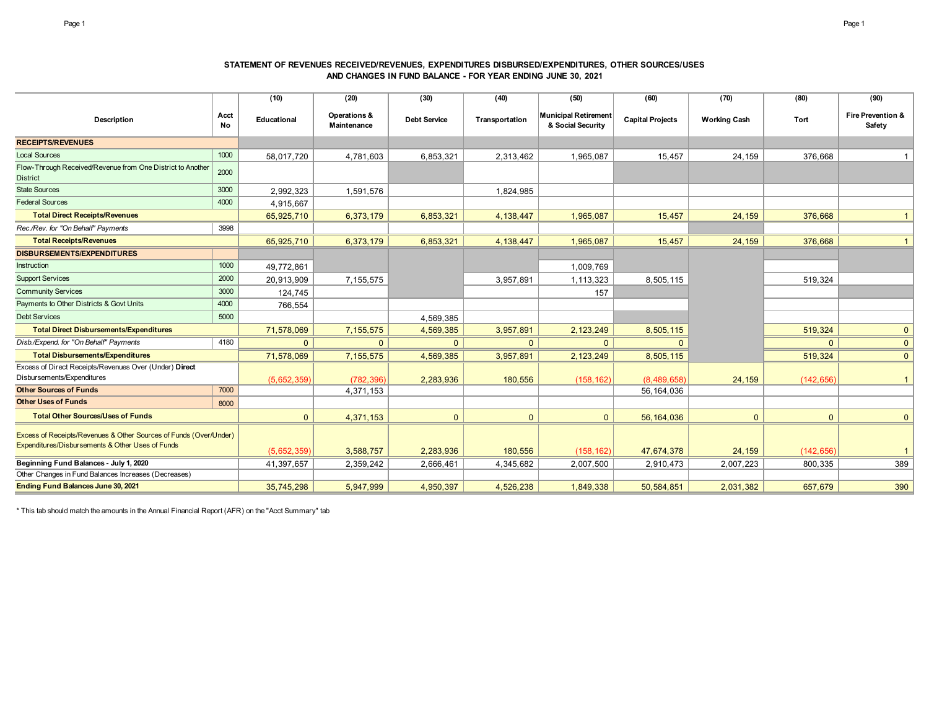### **STATEMENT OF REVENUES RECEIVED/REVENUES, EXPENDITURES DISBURSED/EXPENDITURES, OTHER SOURCES/USES AND CHANGES IN FUND BALANCE - FOR YEAR ENDING JUNE 30, 2021**

|                                                                                                                       |            | (10)         | (20)                        | (30)                | (40)           | (50)                                             | (60)                    | (70)                | (80)         | (90)                        |
|-----------------------------------------------------------------------------------------------------------------------|------------|--------------|-----------------------------|---------------------|----------------|--------------------------------------------------|-------------------------|---------------------|--------------|-----------------------------|
| Description                                                                                                           | Acct<br>No | Educational  | Operations &<br>Maintenance | <b>Debt Service</b> | Transportation | <b>Municipal Retirement</b><br>& Social Security | <b>Capital Projects</b> | <b>Working Cash</b> | Tort         | Fire Prevention &<br>Safety |
| <b>RECEIPTS/REVENUES</b>                                                                                              |            |              |                             |                     |                |                                                  |                         |                     |              |                             |
| <b>Local Sources</b>                                                                                                  | 1000       | 58,017,720   | 4,781,603                   | 6,853,321           | 2,313,462      | 1,965,087                                        | 15,457                  | 24,159              | 376,668      |                             |
| Flow-Through Received/Revenue from One District to Another<br><b>District</b>                                         | 2000       |              |                             |                     |                |                                                  |                         |                     |              |                             |
| <b>State Sources</b>                                                                                                  | 3000       | 2,992,323    | 1,591,576                   |                     | 1,824,985      |                                                  |                         |                     |              |                             |
| <b>Federal Sources</b>                                                                                                | 4000       | 4,915,667    |                             |                     |                |                                                  |                         |                     |              |                             |
| <b>Total Direct Receipts/Revenues</b>                                                                                 |            | 65,925,710   | 6,373,179                   | 6,853,321           | 4,138,447      | 1,965,087                                        | 15,457                  | 24,159              | 376.668      |                             |
| Rec./Rev. for "On Behalf" Payments                                                                                    | 3998       |              |                             |                     |                |                                                  |                         |                     |              |                             |
| <b>Total Receipts/Revenues</b>                                                                                        |            | 65,925,710   | 6,373,179                   | 6,853,321           | 4, 138, 447    | 1,965,087                                        | 15,457                  | 24,159              | 376.668      | $\mathbf{1}$                |
| <b>DISBURSEMENTS/EXPENDITURES</b>                                                                                     |            |              |                             |                     |                |                                                  |                         |                     |              |                             |
| Instruction                                                                                                           | 1000       | 49,772,861   |                             |                     |                | 1,009,769                                        |                         |                     |              |                             |
| <b>Support Services</b>                                                                                               | 2000       | 20,913,909   | 7,155,575                   |                     | 3,957,891      | 1,113,323                                        | 8,505,115               |                     | 519,324      |                             |
| <b>Community Services</b>                                                                                             | 3000       | 124,745      |                             |                     |                | 157                                              |                         |                     |              |                             |
| Payments to Other Districts & Govt Units                                                                              | 4000       | 766,554      |                             |                     |                |                                                  |                         |                     |              |                             |
| <b>Debt Services</b>                                                                                                  | 5000       |              |                             | 4,569,385           |                |                                                  |                         |                     |              |                             |
| <b>Total Direct Disbursements/Expenditures</b>                                                                        |            | 71,578,069   | 7, 155, 575                 | 4,569,385           | 3,957,891      | 2, 123, 249                                      | 8,505,115               |                     | 519,324      | $\mathbf{0}$                |
| Disb./Expend. for "On Behalf" Payments                                                                                | 4180       | $\Omega$     | $\Omega$                    | $\Omega$            | $\Omega$       | $\Omega$                                         | $\Omega$                |                     | $\mathbf{0}$ | $\mathbf{0}$                |
| <b>Total Disbursements/Expenditures</b>                                                                               |            | 71,578,069   | 7, 155, 575                 | 4,569,385           | 3,957,891      | 2, 123, 249                                      | 8,505,115               |                     | 519,324      | $\mathbf{0}$                |
| Excess of Direct Receipts/Revenues Over (Under) Direct<br>Disbursements/Expenditures                                  |            | (5,652,359)  | (782, 396)                  | 2,283,936           | 180,556        | (158, 162)                                       | (8,489,658)             | 24,159              | (142, 656)   | 1                           |
| <b>Other Sources of Funds</b>                                                                                         | 7000       |              | 4,371,153                   |                     |                |                                                  | 56,164,036              |                     |              |                             |
| <b>Other Uses of Funds</b>                                                                                            | 8000       |              |                             |                     |                |                                                  |                         |                     |              |                             |
| <b>Total Other Sources/Uses of Funds</b>                                                                              |            | $\mathbf{0}$ | 4,371,153                   | $\mathbf{0}$        | $\mathbf{0}$   | $\Omega$                                         | 56, 164, 036            | $\mathbf{0}$        | $\mathbf{0}$ | $\mathbf{0}$                |
| Excess of Receipts/Revenues & Other Sources of Funds (Over/Under)<br>Expenditures/Disbursements & Other Uses of Funds |            | (5,652,359)  | 3,588,757                   | 2,283,936           | 180,556        | (158, 162)                                       | 47,674,378              | 24,159              | (142, 656)   |                             |
| Beginning Fund Balances - July 1, 2020                                                                                |            | 41,397,657   | 2,359,242                   | 2,666,461           | 4,345,682      | 2,007,500                                        | 2,910,473               | 2,007,223           | 800,335      | 389                         |
| Other Changes in Fund Balances Increases (Decreases)                                                                  |            |              |                             |                     |                |                                                  |                         |                     |              |                             |
| Ending Fund Balances June 30, 2021                                                                                    |            | 35,745,298   | 5,947,999                   | 4,950,397           | 4,526,238      | 1,849,338                                        | 50,584,851              | 2,031,382           | 657,679      | 390                         |

\* This tab should match the amounts in the Annual Financial Report (AFR) on the "Acct Summary" tab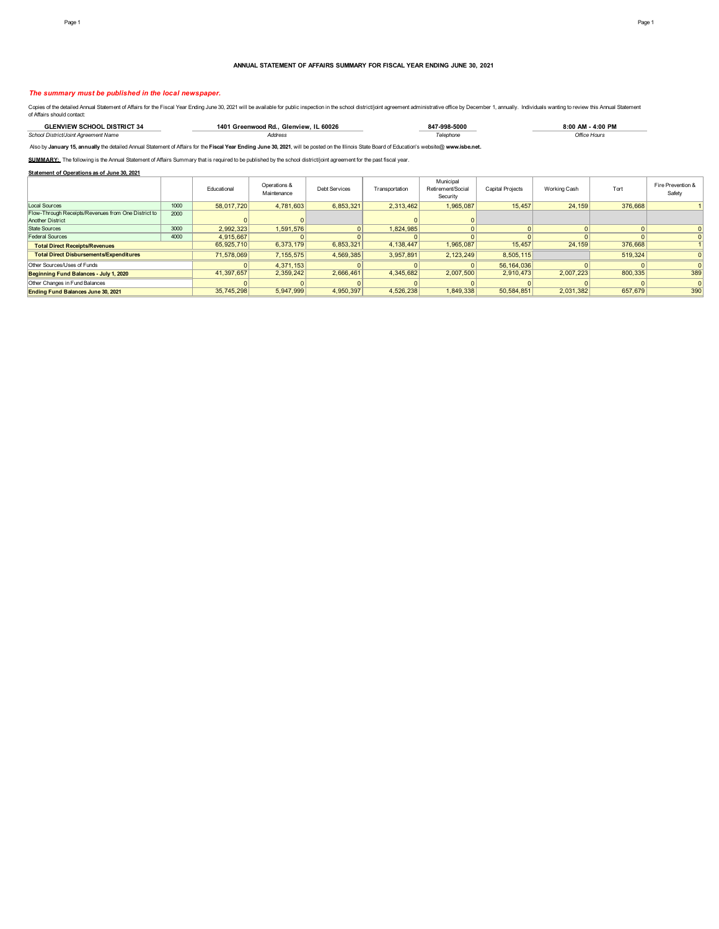#### **ANNUAL STATEMENT OF AFFAIRS SUMMARY FOR FISCAL YEAR ENDING JUNE 30, 2021**

#### *The summary must be published in the local newspaper.*

Copies of the detailed Annual Statement of Affairs for the Fiscal Year Ending June 30, 2021 will be available for public inspection in the school district/joint agreement administrative office by December 1, annually. Indi

| <u>וקדפור</u><br>20100 | 140 <sub>1</sub><br>60026<br><b>Glenview</b><br>i Rd.<br>anwoog. | 998-5000 | מום הה<br>٠nn |
|------------------------|------------------------------------------------------------------|----------|---------------|
| School Distri<br>.     | aress<br>.                                                       |          |               |

Also by **January 15, annually** the detailed Annual Statement of Affairs for the **Fiscal Year Ending June 30, 2021**, will be posted on the Illinois State Board of Education's website@ **www.isbe.net.**

SUMMARY: The following is the Annual Statement of Affairs Summary that is required to be published by the school district/joint agreement for the past fiscal year.

**Statement of Operations as of June 30, 2021**

|                                                     |      | Educational | Operations &<br>Maintenance | <b>Debt Services</b> | Transportation | Municipal<br>Retirement/Social<br>Security | <b>Capital Projects</b> | Working Cash | Tort    | Fire Prevention &<br>Safety |
|-----------------------------------------------------|------|-------------|-----------------------------|----------------------|----------------|--------------------------------------------|-------------------------|--------------|---------|-----------------------------|
| <b>Local Sources</b>                                | 1000 | 58.017.720  | 4.781.603                   | 6.853.321            | 2.313.462      | 1.965.087                                  | 15,457                  | 24,159       | 376,668 |                             |
| Flow-Through Receipts/Revenues from One District to | 2000 |             |                             |                      |                |                                            |                         |              |         |                             |
| <b>Another District</b>                             |      |             |                             |                      |                |                                            |                         |              |         |                             |
| State Sources                                       | 3000 | 2,992,323   | 1,591,576                   |                      | 1,824,985      |                                            |                         |              |         |                             |
| <b>Federal Sources</b>                              | 4000 | 4.915.667   |                             |                      |                |                                            |                         |              |         |                             |
| <b>Total Direct Receipts/Revenues</b>               |      | 65,925,710  | 6,373,179                   | 6,853,321            | 4,138,447      | 965,087                                    | 15,457                  | 24,159       | 376,668 |                             |
| <b>Total Direct Disbursements/Expenditures</b>      |      | 71.578.069  | 7.155.575                   | 4,569,385            | 3.957.891      | 2.123.249                                  | 8.505.115               |              | 519,324 |                             |
| Other Sources/Uses of Funds                         |      |             | 4.371.153                   |                      |                |                                            | 56.164.036              |              |         |                             |
| Beginning Fund Balances - July 1, 2020              |      | 41.397.657  | 2,359,242                   | 2,666,461            | 4.345.682      | 2.007.500                                  | 2.910.473               | 2.007.223    | 800,335 | 389                         |
| Other Changes in Fund Balances                      |      |             |                             |                      |                |                                            |                         |              |         |                             |
| Ending Fund Balances June 30, 2021                  |      | 35.745.298  | 5,947,999                   | 4,950,397            | 4,526,238      | 1.849.338                                  | 50.584.851              | 2.031.382    | 657,679 | 390                         |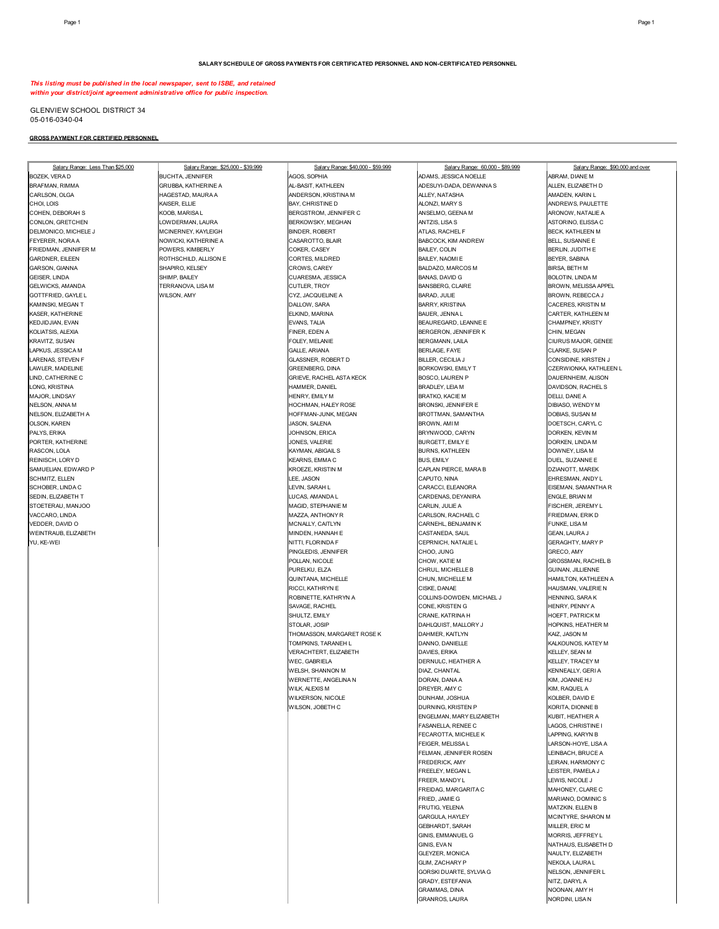*This listing must be published in the local newspaper, sent to ISBE, and retained within your district/joint agreement administrative office for public inspection.*

GLENVIEW SCHOOL DISTRICT 34 05-016-0340-04

### **GROSS PAYMENT FOR CERTIFIED PERSONNEL**

| Salary Range: Less Than \$25,000 | Salary Range: \$25,000 - \$39,999 | Salary Range: \$40,000 - \$59,999 | Salary Range: 60,000 - \$89,999  | Salary Range: \$90,000 and over |
|----------------------------------|-----------------------------------|-----------------------------------|----------------------------------|---------------------------------|
| BOZEK, VERA D                    | <b>BUCHTA, JENNIFER</b>           | AGOS, SOPHIA                      | ADAMS, JESSICA NOELLE            | ABRAM, DIANE M                  |
| BRAFMAN, RIMMA                   | GRUBBA, KATHERINE A               | AL-BASIT, KATHLEEN                | ADESUYI-DADA, DEWANNA S          | ALLEN, ELIZABETH D              |
| CARLSON, OLGA                    | HAGESTAD, MAURA A                 | ANDERSON, KRISTINA M              | ALLEY, NATASHA                   | AMADEN, KARIN L                 |
| CHOI, LOIS                       | KAISER, ELLIE                     | BAY, CHRISTINE D                  | ALONZI, MARY S                   | ANDREWS, PAULETTE               |
| COHEN, DEBORAH S                 | KOOB, MARISA L                    | BERGSTROM, JENNIFER C             | ANSELMO, GEENA M                 | ARONOW, NATALIE A               |
| CONLON, GRETCHEN                 | LOWDERMAN, LAURA                  | BERKOWSKY, MEGHAN                 | ANTZIS, LISA S                   | ASTORINO, ELISSA C              |
| DELMONICO, MICHELE J             | MCINERNEY, KAYLEIGH               | <b>BINDER, ROBERT</b>             | ATLAS, RACHEL F                  | BECK, KATHLEEN M                |
| FEYERER, NORA A                  | NOWICKI, KATHERINE A              | CASAROTTO, BLAIR                  | BABCOCK, KIM ANDREW              | BELL, SUSANNE E                 |
|                                  |                                   |                                   |                                  |                                 |
| FRIEDMAN, JENNIFER M             | POWERS, KIMBERLY                  | COKER, CASEY                      | <b>BAILEY, COLIN</b>             | BERLIN, JUDITH E                |
| GARDNER, EILEEN                  | ROTHSCHILD, ALLISON E             | CORTES, MILDRED                   | BAILEY, NAOMI E                  | BEYER, SABINA                   |
| GARSON, GIANNA                   | SHAPIRO, KELSEY                   | CROWS, CAREY                      | BALDAZO, MARCOS M                | <b>BIRSA, BETH M</b>            |
| GEISER, LINDA                    | SHIMP, BAILEY                     | CUARESMA, JESSICA                 | BANAS, DAVID G                   | BOLOTIN, LINDA M                |
| GELWICKS, AMANDA                 | TERRANOVA, LISA M                 | CUTLER, TROY                      | <b>BANSBERG, CLAIRE</b>          | BROWN, MELISSA APPEL            |
| GOTTFRIED, GAYLE L               | WILSON, AMY                       | CYZ, JACQUELINE A                 | BARAD, JULIE                     | BROWN, REBECCA J                |
| KAMINSKI, MEGAN T                |                                   | DALLOW, SARA                      | <b>BARRY, KRISTINA</b>           | CACERES, KRISTIN M              |
| KASER, KATHERINE                 |                                   | ELKIND, MARINA                    | BAUER, JENNA L                   | CARTER, KATHLEEN M              |
| KEDJIDJIAN, EVAN                 |                                   | EVANS, TALIA                      | BEAUREGARD, LEANNE E             | CHAMPNEY, KRISTY                |
| KOLIATSIS, ALEXIA                |                                   | FINER, EDEN A                     | BERGERON, JENNIFER K             | CHIN, MEGAN                     |
| KRAVITZ, SUSAN                   |                                   | FOLEY, MELANIE                    | BERGMANN, LAILA                  | CIURUS MAJOR, GENEE             |
| LAPKUS, JESSICA M                |                                   | <b>GALLE, ARIANA</b>              | BERLAGE, FAYE                    | CLARKE, SUSAN P                 |
| LARENAS, STEVEN F                |                                   | <b>GLASSNER, ROBERT D</b>         | BILLER, CECILIA J                | CONSIDINE, KIRSTEN J            |
| LAWLER, MADELINE                 |                                   | <b>GREENBERG, DINA</b>            | BORKOWSKI, EMILY T               | CZERWIONKA, KATHLEEN L          |
| LIND, CATHERINE C                |                                   | GRIEVE, RACHEL ASTA KECK          | <b>BOSCO, LAUREN P</b>           | DAUERNHEIM, ALISON              |
| LONG, KRISTINA                   |                                   | HAMMER, DANIEL                    | <b>BRADLEY, LEIA M</b>           | DAVIDSON, RACHEL S              |
| MAJOR, LINDSAY                   |                                   | HENRY, EMILY M                    | <b>BRATKO, KACIE M</b>           | DELLI, DANE A                   |
| NELSON, ANNA M                   |                                   | HOCHMAN, HALEY ROSE               | BRONSKI, JENNIFER E              | DIBIASO, WENDY M                |
| NELSON, ELIZABETH A              |                                   | HOFFMAN-JUNK, MEGAN               | BROTTMAN, SAMANTHA               | DOBIAS, SUSAN M                 |
|                                  |                                   |                                   |                                  |                                 |
| OLSON, KAREN                     |                                   | JASON, SALENA                     | BROWN, AMI M                     | DOETSCH, CARYL C                |
| PALYS, ERIKA                     |                                   | JOHNSON, ERICA                    | BRYNWOOD, CARYN                  | DORKEN, KEVIN M                 |
| PORTER, KATHERINE                |                                   | JONES, VALERIE                    | BURGETT, EMILY E                 | DORKEN, LINDA M                 |
| RASCON, LOLA                     |                                   | KAYMAN, ABIGAIL S                 | <b>BURNS, KATHLEEN</b>           | DOWNEY, LISA M                  |
| REINISCH, LORY D                 |                                   | KEARNS, EMMA C                    | <b>BUS, EMILY</b>                | DUEL, SUZANNE E                 |
| SAMUELIAN, EDWARD P              |                                   | KROEZE, KRISTIN M                 | CAPLAN PIERCE, MARA B            | DZIANOTT, MAREK                 |
| SCHMITZ, ELLEN                   |                                   | LEE, JASON                        | CAPUTO, NINA                     | EHRESMAN, ANDY L                |
| SCHOBER, LINDA C                 |                                   | LEVIN, SARAH L                    | CARACCI, ELEANORA                | EISEMAN, SAMANTHA R             |
| SEDIN, ELIZABETH T               |                                   | LUCAS, AMANDA L                   | CARDENAS, DEYANIRA               | ENGLE, BRIAN M                  |
| STOETERAU, MANJOO                |                                   | MAGID, STEPHANIE M                | CARLIN, JULIE A                  | FISCHER, JEREMY L               |
| VACCARO, LINDA                   |                                   | MAZZA, ANTHONY R                  | CARLSON, RACHAEL C               | FRIEDMAN, ERIK D                |
| VEDDER, DAVID O                  |                                   | MCNALLY, CAITLYN                  | CARNEHL, BENJAMIN K              | FUNKE, LISA M                   |
| WEINTRAUB, ELIZABETH             |                                   | MINDEN, HANNAH E                  | CASTANEDA, SAUL                  | GEAN, LAURA J                   |
| YU, KE-WEI                       |                                   | NITTI, FLORINDA F                 | CEPRNICH, NATALIE L              | <b>GERAGHTY, MARY P</b>         |
|                                  |                                   | PINGLEDIS, JENNIFER               | CHOO, JUNG                       | GRECO, AMY                      |
|                                  |                                   | POLLAN, NICOLE                    | CHOW, KATIE M                    | <b>GROSSMAN, RACHEL B</b>       |
|                                  |                                   | PURELKU, ELZA                     | CHRUL, MICHELLE B                | GUINAN, JILLIENNE               |
|                                  |                                   | QUINTANA, MICHELLE                |                                  |                                 |
|                                  |                                   | RICCI, KATHRYN E                  | CHUN, MICHELLE M<br>CISKE, DANAE | HAMILTON, KATHLEEN A            |
|                                  |                                   |                                   |                                  | HAUSMAN, VALERIE N              |
|                                  |                                   | ROBINETTE, KATHRYN A              | COLLINS-DOWDEN, MICHAEL J        | HENNING, SARA K                 |
|                                  |                                   | SAVAGE, RACHEL                    | CONE, KRISTEN G                  | HENRY, PENNY A                  |
|                                  |                                   | SHULTZ, EMILY                     | CRANE, KATRINA H                 | HOEFT, PATRICK M                |
|                                  |                                   | STOLAR, JOSIP                     | DAHLQUIST, MALLORY J             | HOPKINS, HEATHER M              |
|                                  |                                   | THOMASSON, MARGARET ROSE K        | DAHMER, KAITLYN                  | KAIZ, JASON M                   |
|                                  |                                   | TOMPKINS, TARANEH L               | DANNO, DANIELLE                  | KALKOUNOS, KATEY M              |
|                                  |                                   | VERACHTERT, ELIZABETH             | DAVIES, ERIKA                    | KELLEY, SEAN M                  |
|                                  |                                   | WEC, GABRIELA                     | DERNULC, HEATHER A               | KELLEY, TRACEY M                |
|                                  |                                   | WELSH, SHANNON M                  | DIAZ, CHANTAL                    | KENNEALLY, GERI A               |
|                                  |                                   | WERNETTE, ANGELINA N              | DORAN, DANA A                    | KIM. JOANNE HJ                  |
|                                  |                                   | WILK, ALEXIS M                    | DREYER, AMY C                    | KIM, RAQUEL A                   |
|                                  |                                   | WILKERSON, NICOLE                 | DUNHAM, JOSHUA                   | KOLBER, DAVID E                 |
|                                  |                                   | WILSON, JOBETH C                  | DURNING, KRISTEN P               | KORITA, DIONNE B                |
|                                  |                                   |                                   | ENGELMAN, MARY ELIZABETH         | KUBIT, HEATHER A                |
|                                  |                                   |                                   | FASANELLA, RENEE C               | LAGOS, CHRISTINE I              |
|                                  |                                   |                                   | FECAROTTA, MICHELE K             | LAPPING, KARYN B                |
|                                  |                                   |                                   | FEIGER, MELISSA L                | LARSON-HOYE, LISA A             |
|                                  |                                   |                                   | FELMAN, JENNIFER ROSEN           | LEINBACH, BRUCE A               |
|                                  |                                   |                                   |                                  |                                 |
|                                  |                                   |                                   | FREDERICK, AMY                   | LEIRAN, HARMONY C               |
|                                  |                                   |                                   | FREELEY, MEGAN L                 | LEISTER, PAMELA J               |
|                                  |                                   |                                   | FREER, MANDY L                   | LEWIS, NICOLE J                 |
|                                  |                                   |                                   | FREIDAG, MARGARITA C             | MAHONEY, CLARE C                |
|                                  |                                   |                                   | FRIED, JAMIE G                   | MARIANO, DOMINIC S              |
|                                  |                                   |                                   | FRUTIG, YELENA                   | MATZKIN, ELLEN B                |
|                                  |                                   |                                   | GARGULA, HAYLEY                  | MCINTYRE, SHARON M              |
|                                  |                                   |                                   | GEBHARDT, SARAH                  | MILLER, ERIC M                  |
|                                  |                                   |                                   | GINIS, EMMANUEL G                | MORRIS, JEFFREY L               |
|                                  |                                   |                                   | GINIS, EVA N                     | NATHAUS, ELISABETH D            |
|                                  |                                   |                                   | GLEYZER, MONICA                  | NAULTY, ELIZABETH               |
|                                  |                                   |                                   | GLIM, ZACHARY P                  | NEKOLA, LAURA L                 |
|                                  |                                   |                                   | GORSKI DUARTE, SYLVIA G          | NELSON, JENNIFER L              |
|                                  |                                   |                                   | GRADY, ESTEFANIA                 | NITZ, DARYL A                   |
|                                  |                                   |                                   | <b>GRAMMAS, DINA</b>             | NOONAN, AMY H                   |
|                                  |                                   |                                   |                                  |                                 |

GRANROS, LAURA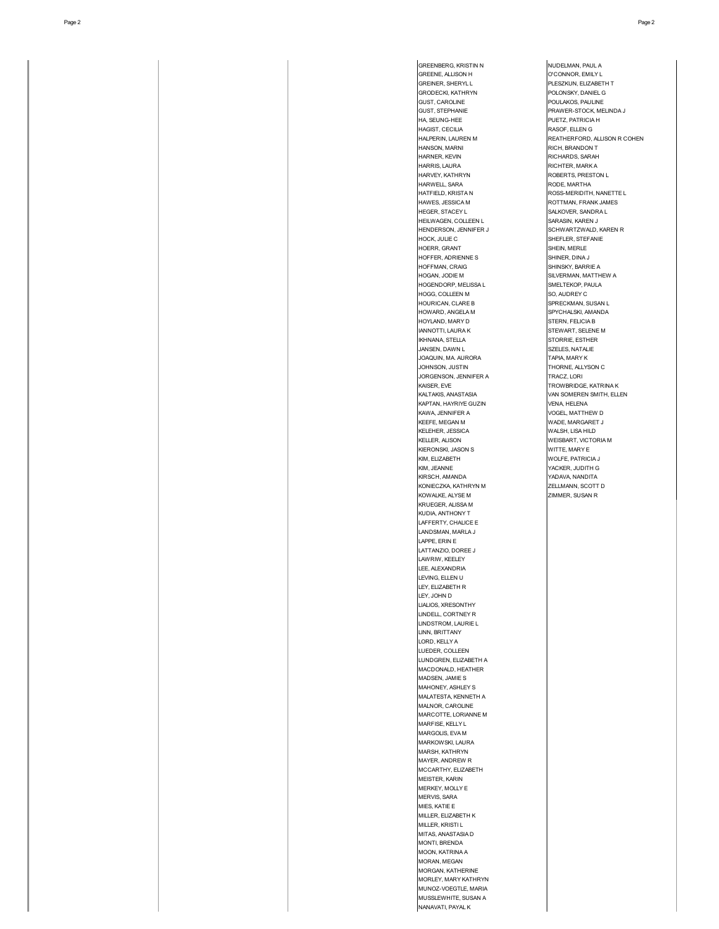Page 2 Page 2

GREENBERG, KRISTIN N<br>GREENE, ALLISON H<br>COONNOR, EMILY L GREENE, ALLISON H O'CONNOR, EMILY L<br>GREINER, SHERYL L<br>PLESZKUN, ELIZABET PLESZKUN, ELIZABETH T GRODECKI, KATHRYN **POLONSKY, DANIEL GEROPECKI, KATHRYN**<br>GLIST CAROLINE POULAKOS, PAULINE GUST, STEPHANIE PRAWER-STOCK, MELINDA J HA, SEUNG-HEE PUETZ, PATRICIA H HAGIST, CECILIA RASOF, ELLEN G HALPERIN, LAUREN M<br>HANSON MARNI MERINDI SELLE REANDON T HAN BRANDON T HARNER, KEVIN RICHARDS, SARAH RICHARDS, SARAH RICHARDS, SARAH RICHARDS, SARAH RICHARDS, SARAH RICHTER, MARK A HARVEY, KATHRYN **ROBERTS, PRESTON L** MARWELL, SARA RODE, MARTHA<br>HATFIELD, KRISTA NATURE ROSS-MERIDITH AN AN ELECTRIC MUSIC CONTROL IN THE RESERVED ON A ROSS-MERIDITH, NANETTE LARENT MUSIC CONTROL IN THE RESERVED O<br>HAWES, JESSICA MARIA ROTTMAN, FRANK JAMES HAWES, JESSICA M **ROTTMAN, FRANK JAMES**<br>HEGER, STACEY L SALKOVER, SANDRA L HEILWAGEN, COLLEEN LETTER SARASIN, KAREN JERUS DE SARASIN, KAREN JERUS DE SCHWARTZWALD, HENDERSON, JENNIFER J<br>HOCK, JULIE C<br>SHEFLER, STEFANIE .<br>SHEFLER, STEFANIE<br>SHEIN, MERLE HOERR, GRANT<br>HOFFER, ADRIENNE SHEIN, MERLE SHINER, DINA J SHINSKY, BARRIE A HOGAN, JODIE M SILVERMAN, MATTHEW A **HOGG, COLLEEN M** SO, AUDREY C<br>HOURICAN, CLARE B SPRECKMAN, S SPRECKMAN, SUSAN L HOWARD, ANGELA M SPYCHALSKI, AMANDA HOYLAND, MARY D STERN, FELICIA B **INNOTTI, LAURA K STEWART, SELENE M IKHNANA, STELLA STORRIE, ESTHER** JANSEN, DAWN L SZELES, NATALIE JOAQUIN, MA. AURORA TAPIA, MARY K JOHNSON, JUSTIN<br>JORGENSON, JENNIFER A<br>JORGENSON, JENNIFER A KAISER, EVE TROWBRIDGE, KATRINA K<br>KALTAKIS. ANASTASIA TROWBRIDGE, KATRINA KALTAKIS. ANASTASIA VAN SOMEREN SMITH, ELLEN MARTAN, HAYRIYE GUZIN VENA, HELENA<br>KAWA, JENNIFER A VOGEL, MATTH **KAWA, JENNIFER A VOGEL, MATTHEW D<br>KEEFE, MEGAN M** WADE, MARGARET J .<br>WADE, MARGARET J<br>WALSH, LISA HILD .<br>WEISBART, VICTORIA M<br>WITTE, MARY E **KIM, ELIZABETH WOLFE, PATRICIA J<br>KIM, JEANNE HARRY WORKER, JUDITH G** XIM, JEANNE<br>KIRSCH, AMANDA YADAYA, NANDITA .<br>ZELLMANN, SCOTT D KONIECZKA, KATHRYN M ZELLMANN, SCOTT<br>KOWALKE, ALYSE M ZIMMER, SUSAN R

.<br>HOFFER, ADRIENNE S<br>HOFFMAN, CRAIG

**HOGENDORP, MELISSA L** 

**JORGENSON, JENNIFER A** 

KELEHER, JESSICA<br>KELLER, ALISON

KIERONSKI, JASON S<br>KIM, ELIZABETH

KOWALKE, ALYSE M KRUEGER, ALISSA M KUDIA, ANTHONY T LAFFERTY, CHALICE E LANDSMAN, MARLA J LAPPE, ERIN E LATTANZIO, DOREE J LAWRIW, KEELEY LEE, ALEXANDRIA LEVING, ELLEN U LEY, ELIZABETH R LEY, JOHN D LIALIOS, XRESONTHY LINDELL, CORTNEY R LINDSTROM, LAURIE L LINN, BRITTANY LORD, KELLY A LUEDER, COLLEEN LUNDGREN, ELIZABETH A MACDONALD, HEATHER MADSEN, JAMIE S MAHONEY, ASHLEY S MALATESTA, KENNETH A MALNOR, CAROLINE MARCOTTE, LORIANNE M MARFISE, KELLY L MARGOLIS, EVA M MARKOWSKI, LAURA MARSH, KATHRYN MAYER, ANDREW R MCCARTHY, ELIZABETH MEISTER, KARIN MERKEY, MOLLY E MERVIS, SARA MIES, KATIE E MILLER, ELIZABETH K MILLER, KRISTI L MITAS, ANASTASIA D MONTI, BRENDA MOON, KATRINA A MORAN, MEGAN MORGAN, KATHERINE MORLEY, MARY KATHRYN MUNOZ-VOEGTLE, MARIA MUSSLEWHITE, SUSAN A NANAVATI, PAYAL K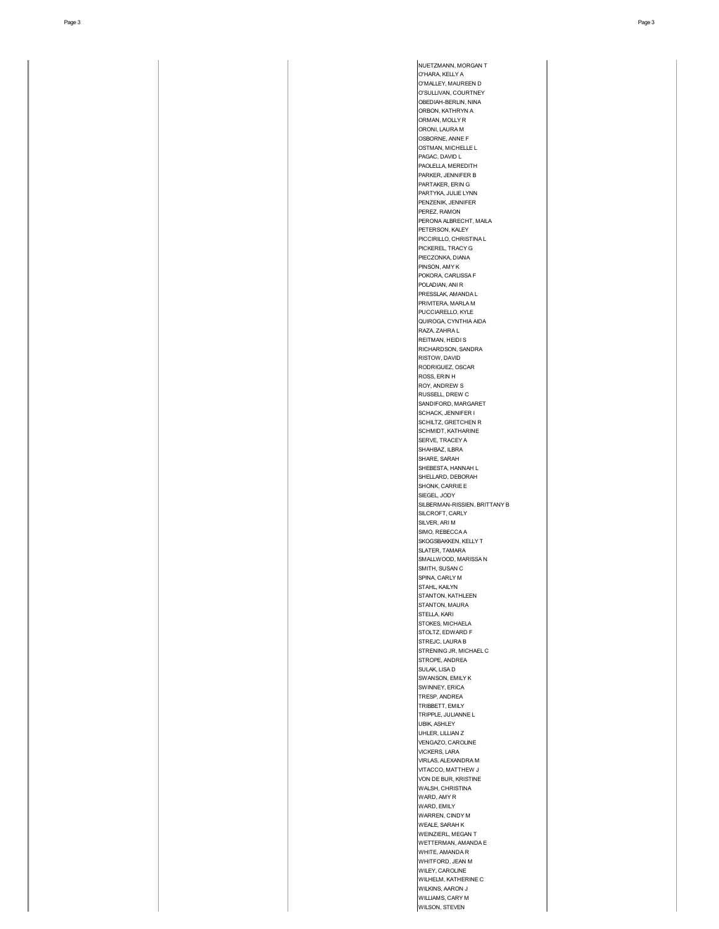NUETZMANN, MORGAN T O'HARA, KELLY A O'MALLEY, MAUREEN D O'SULLIVAN, COURTNEY OBEDIAH-BERLIN, NINA ORBON, KATHRYN A ORMAN, MOLLY R ORONI, LAURA M OSBORNE, ANNE F OSTMAN, MICHELLE L PAGAC, DAVID L PAOLELLA, MEREDITH PARKER, JENNIFER B PARTAKER, ERIN G PARTYKA, JULIE LYNN PENZENIK, JENNIFER PEREZ, RAMON PERONA ALBRECHT, MAILA PETERSON, KALEY PICCIRILLO, CHRISTINA L PICKEREL, TRACY G PIECZONKA, DIANA PINSON, AMY K POKORA, CARLISSA F POLADIAN, ANI R PRESSLAK, AMANDA L PRIVITERA, MARLA M PUCCIARELLO, KYLE QUIROGA, CYNTHIA AIDA RAZA, ZAHRA L REITMAN, HEIDI S RICHARDSON, SANDRA RISTOW, DAVID RODRIGUEZ, OSCAR ROSS, ERIN H ROY, ANDREW S RUSSELL, DREW C SANDIFORD, MARGARET SCHACK, JENNIFER I **SCHILTZ, GRETCHEN R** SCHMIDT, KATHARINE SERVE, TRACEY A SHAHBAZ, ILBRA SHARE, SARAH SHEBESTA, HANNAH L SHELLARD, DEBORAH SHONK, CARRIE E SIEGEL, JODY SILBERMAN-RISSIEN, BRITTANY B SILCROFT, CARLY SILVER, ARI M SIMO, REBECCA A SKOGSBAKKEN, KELLY T SLATER, TAMARA SMALLWOOD, MARISSA N SMITH, SUSAN C SPINA, CARLY M STAHL, KAILYN STANTON, KATHLEEN STANTON, MAURA STELLA, KARI STOKES, MICHAELA STOLTZ, EDWARD F STREJC, LAURA B STRENING JR, MICHAEL C STROPE, ANDREA SULAK, LISA D SWANSON, EMILY K SWINNEY, ERICA TRESP, ANDREA TRIBBETT, EMILY TRIPPLE, JULIANNE L UBIK, ASHLEY UHLER, LILLIAN Z VENGAZO, CAROLINE VICKERS, LARA VIRLAS, ALEXANDRA M VITACCO, MATTHEW J VON DE BUR, KRISTINE WALSH, CHRISTINA WARD, AMY R WARD, EMILY WARREN, CINDY M WEALE, SARAH K WEINZIERL, MEGAN T WETTERMAN, AMANDA E WHITE, AMANDA R WHITFORD, JEAN M WILEY, CAROLINE WILHELM, KATHERINE C WILKINS, AARON J WILLIAMS, CARY M WILSON, STEVEN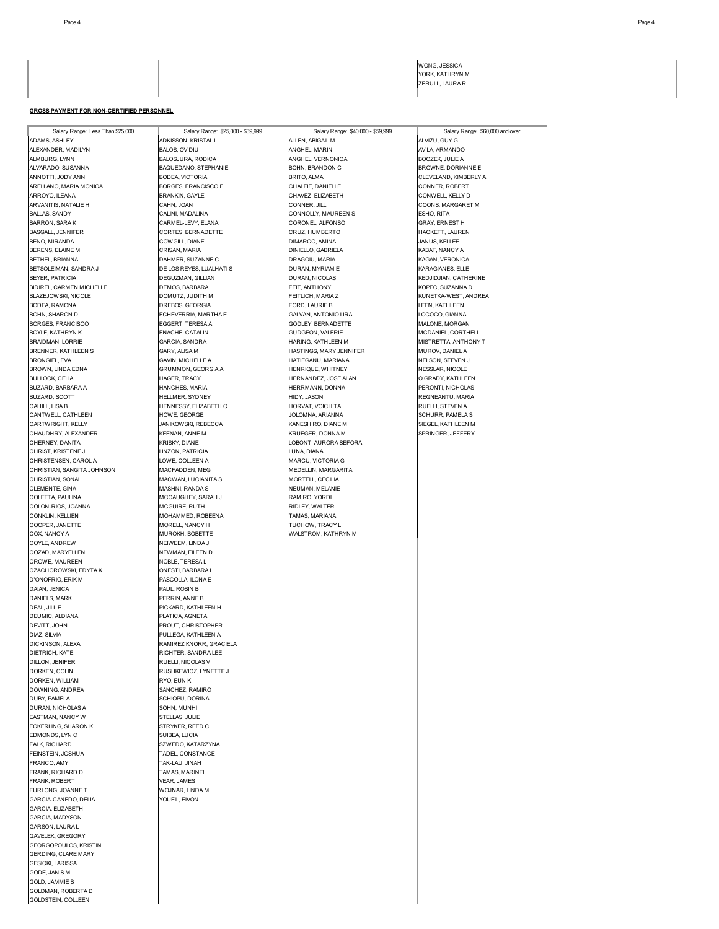### **GROSS PAYMENT FOR NON-CERTIFIED PERSONNEL**

Salary Range: Less Than \$25,000 Salary Range: \$25,000 - \$39,999 Salary Range: \$40,000 - \$59,999 Salary Range: \$60,000 and over<br>ADAMS, ASHLEY ALVIZU, GUY GALVIZU, GUY GALVIZU, GUY GALVIZU, GUY GALVIZU, GUY GALVIZU, GUY GALV ALEXANDER, MADILYN BALOS, OVIDIU ANGHEL, MARIN AVILA, ARMANDO ALMBURG, LYNN BALOSJURA, RODICA ANGHEL, VERNONICA BOCZEK, JULIE A ANNOTTI, JODY ANN BOLOGA, MONTORIA BRITO, ALMA BRITO, ALMA CLEVELAND, KIMBERLY A<br>ARELLANO, MARIA MONICA BORGES, FRANCISCO E. CHALFIE, DANIELLE CONNER, ROBERT CONNER, ROBERT ARROYO, ILEANA BRANKIN, GAYLE CHAVEZ, ELIZABETH CONWELL, KELLY D **ARVANITIS, NATALIE H** BALLAS, SANDY CALINI, MADALINA CONNOLLY, MAUREEN SANDY ESHO, RITA BARRON, SARA K GARA GARA CORONEL, ALFONSO CORONEL, ALFONSO GRAY, ERNEST H<br>BASGALL JENNIFER CORTES BERNADETTE CRITE CRIZ HUMBERTO HACKETT LAUREN BENO, MIRANDA COWGILL, DIANE DIMARCO, AMINA JANUS, KELLEE BERENS, ELAINE M CRISAN, MARIA DINIELLO, GABRIELA KABAT, NANCY A BETHEL, BRIANNA DAHMER, SUZANNE C DRAGOIU, MARIA KAGAN, VERONICA BETSOLEIMAN, SANDRA J DE LOS REYES, LUALHATI S DURAN, MYRIAM E KARAGIANES, ELLE BEYER, PATRICIA DEGUZMAN, GILLIAN DURAN, NICOLAS KEDJIDJIAN, CATHERINE BIDIREL, CARMEN MICHELLE DEMOS, BARBARA FEIT, ANTHONY KOPEC, SUZANNA D BLAZEJOWSKI, NICOLE DOMUTZ, JUDITH M FEITLICH, MARIA Z KUNETKA-WEST, ANDREA BODEA, RAMONA DREBOS, GEORGIA FORD, LAURIE B LEEN, KATHLEEN BOHN, SHARON D ECHEVERRIA, MARTHA E GALVAN, ANTONIO LIRA LOCOCO, GIANNA enale and the enable of the enable control of the enable of the enable of the enable of the enable of the enable of the enable of the enable of the enable of the enable of the enable of the enable of the enable of the enab BRENNER, KATHLEEN S GARY, ALISA M HASTINGS, MARY JENNIFER MUROV, DANIEL A .<br>BRONGIEL, EVA GAVIN, MICHELLE A HATIEGANU, MARIANA HATIEGANU, MARIANA HATIEGANU, MARIANA HATIEGANU, STEVEN J<br>BROWN, LINDA EDNA GRUMMON, GEORGIA A HENRIQUE, WHITNEY HESSLAR, NICOLE BULLOCK, CELIA HAGER, TRACY HERNANDEZ, JOSE ALAN O'GRADY, KATHLEEN BUZARD, BARBARA A BUZARD, SCOTT **HELLMER, SYDNEY HIDY, JASON** HIDY, JASON REGNEANTU, MARIA : MHELLISA B HENNESSY, ELIZABETH C HORVAT, VOICHITA HORVAT, VOICHITA RUELLI, STEVEN A<br>ANTWELL, CATHLEEN HOWE, GEORGE HOWE, GEORGE JOLOMNA, ARIANNA .<br>CANTWELL, CATHLEEN HOWE, GEORGE JOURNALISM SCHURR, PAMELA SCHURR, PAMELA SCHURR, PAMELA SCHURR, PAMELA SCHURR,<br>CARTWRIGHT, KELLY SEGEL, KATHLEEN M CHAUDHRY, ALEXANDER CHERNEY, DANITA KRISKY, DIANE LOBONT, AURORA SEFORA CHRIST, KRISTENE J LINZON, PATRICIA LUNA, DIANA CHRISTENSEN, CAROL A LOWE, COLLEEN A MARCU, VICTORIA G CHRISTIAN, SANGITA JOHNSON MACFADDEN, MEG MEDELLIN, MARGARITA CHRISTIAN, SONAL MACWAN, LUCIANITA S MORTELL, CECILIA CLEMENTE, GINA MASHNI, RANDA S NEUMAN, MELANIE COLETTA, PAULINA MCCAUGHEY, SARAH J RAMIRO, YORDI COLON-RIOS, JOANNA MCGUIRE, RUTH RIDLEY, WALTER CONKLIN, KELLIEN MOHAMMED, ROBEENA TAMAS, MARIANA COOPER, JANETTE **MORELL, NANCY H** MORELL, NANCY H TUCHOW, TRACY L COX, NANCY A MUROKH, BOBETTE WALSTROM, KATHRYN M COYLE, ANDREW NEIWEEM, LINDA J COZAD, MARYELLEN OROWE, MAUREEN NOBLE, TERESA LAND AND A MOBLE, TERESA LAND AND A LAND AND A LAND AND A LAND AND A LAND AND A LA<br>CACHOROWSKI, EDYTA KAN A LAND AND A LAND A LAND A LAND A LAND A LAND A LAND A LAND A LAND A LAND A LAND A LAND .<br>CZACHOROWSKI, EDYTA K ONESTI, BARBARA L<br>PASCOLLA, ILONA E D'ONOFRIO, ERIK M<br>DAIAN, JENICA DE PAUL, ROBIN B )<br>DAIAN, JENICA PAUL, ROBIN B<br>PERRIN, ANNE BANDARK )<br>ANIELS, MARK **DEAL, JILL E<br>DEUMIC, ALDIANA GEREEN HET BELATICA, AGNETA** DEUMIC, ALDIANA<br>DEVITT, JOHN **DIAZ, SILVIA**<br>DICKINSON ALEXA **PULLEGA, KATHLEEN A** DIETRICH, KATE **RICHTER, SANDRA LEE** DILLON, JENIFER RUELLI, NICOLAS V DORKEN, COLIN RUSHKEWICZ, LYNETTE J **DORKEN, WILLIAM RYO, EUN K<br>DOWNING ANDREA** DOWNING ANDREA DUBY, PAMELA SCHIOPU, DORINA DURAN, NICHOLAS A SOHN, MUNHI EASTMAN, NANCY W STELLAS, JULIE ECKERLING, SHARON K STRYKER, REED C<br>FDMONDS LYN C **EDMONDS, LYN C** FALK, RICHARD SZWEDO, KATARZYNA<br>FEINSTEIN, JOSHUA SARANG STADEL, CONSTANCE FRANCO, AMY **TAK-LAU, JINAH** FRANK, RICHARD D **TAMAS, MARINEL**<br>FRANK, ROBERT **TAMES** VEAR, JAMES **RANK, ROBERT** FURLONG, JOANNE T<br>GARCIA-CANEDO. DELIA GARCIA MOUEIL EIVON SARCIA-CANEDO, DELIA GARCIA, ELIZABETH **GARCIA, MADYSON** GARSON, LAURA L GAVELEK, GREGORY GEORGOPOULOS, KRISTIN GERDING, CLARE MARY GESICKI, LARISSA GODE, JANIS M GOLD, JAMMIE B GOLDMAN, ROBERTA D GOLDSTEIN, COLLEEN

ADKISSON, KRISTAL L **BAQUEDANO, STEPHANIE** .<br>BORGES, FRANCISCO E. **CORTES, BERNADETTE** GRUMMON, GEORGIA A CARTWRIGHT, KELLY JANIKOWSKI, REBECCA KANESHIRO, DIANE M SIEGEL, KATHLEEN M PROUT, CHRISTOPHER DICKINSON, ALEXA RAMIREZ KNORR, GRACIELA .<br>TADEL, CONSTANCE

BODLEY, BERNADETTE MALONE, MALONE, MORGAN **HARING, KATHLEEN M**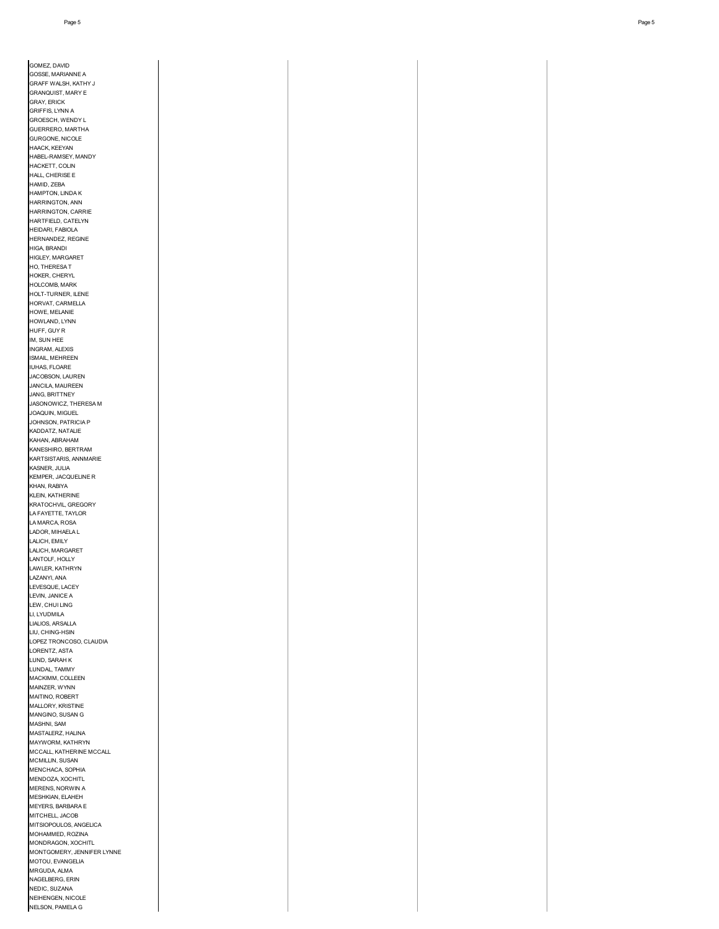| GOMEZ, DAVID                                |
|---------------------------------------------|
| GOSSE, MARIANNE A<br>GRAFF WALSH, KATHY J   |
| <b>GRANQUIST, MARY E</b>                    |
| <b>GRAY, ERICK</b><br>GRIFFIS, LYNN A       |
| GROESCH, WENDY L<br>GUERRERO, MARTHA        |
| GURGONE, NICOLE                             |
| HAACK, KEEYAN<br>HABEL-RAMSEY, MANDY        |
| HACKETT, COLIN                              |
| HALL, CHERISE E<br>HAMID, ZEBA              |
| HAMPTON, LINDA K                            |
| HARRINGTON, ANN<br>HARRINGTON, CARRIE       |
| HARTFIELD, CATELYN                          |
| HEIDARI, FABIOLA<br>HERNANDEZ, REGINE       |
| HIGA, BRANDI                                |
| HIGLEY, MARGARET<br>HO, THERESA T           |
| HOKER, CHERYL                               |
| HOLCOMB, MARK<br>HOLT-TURNER, ILENE         |
| HORVAT, CARMELLA                            |
| HOWE, MELANIE<br>HOWLAND, LYNN              |
| HUFF, GUY R                                 |
| IM, SUN HEE<br>INGRAM, ALEXIS               |
| ISMAIL, MEHREEN                             |
| IUHAS, FLOARE<br>JACOBSON, LAUREN           |
| JANCILA, MAUREEN                            |
| JANG, BRITTNEY<br>JASONOWICZ, THERESA M     |
| JOAQUIN, MIGUEL<br>JOHNSON, PATRICIA P      |
| KADDATZ, NATALIE                            |
| KAHAN, ABRAHAM<br>KANESHIRO, BERTRAM        |
| KARTSISTARIS, ANNMARIE                      |
| KASNER, JULIA<br>KEMPER, JACQUELINE R       |
| KHAN, RABIYA                                |
| KLEIN, KATHERINE<br>KRATOCHVIL, GREGORY     |
| LA FAYETTE, TAYLOR                          |
| LA MARCA, ROSA<br>LADOR, MIHAELA L          |
| LALICH, EMILY                               |
| LALICH, MARGARET<br>LANTOLF, HOLLY          |
| LAWLER, KATHRYN<br>LAZANYI, ANA             |
| LEVESQUE, LACEY                             |
| LEVIN, JANICE A<br>LEW, CHUI LING           |
| LI, LYUDMILA                                |
| LIALIOS, ARSALLA<br>LIU, CHING-HSIN         |
| LOPEZ TRONCOSO, CLAUDIA                     |
| LORENTZ, ASTA<br>LUND, SARAH K              |
| LUNDAL, TAMMY                               |
| MACKIMM, COLLEEN<br>MAINZER, WYNN           |
| MAITINO, ROBERT                             |
| MALLORY, KRISTINE<br>MANGINO, SUSAN G       |
| MASHNI, SAM                                 |
| MASTALERZ, HALINA<br>MAYWORM, KATHRYN       |
| MCCALL, KATHERINE MCCALL<br>MCMILLIN, SUSAN |
| MENCHACA, SOPHIA                            |
| MENDOZA, XOCHITL<br>MERENS, NORWIN A        |
| MESHKIAN, ELAHEH                            |
| MEYERS, BARBARA E<br>MITCHELL, JACOB        |
| MITSIOPOULOS, ANGELICA                      |
| MOHAMMED, ROZINA<br>MONDRAGON, XOCHITL      |
| MONTGOMERY, JENNIFER LYNNE                  |
| MOTOU, EVANGELIA<br>MRGUDA, ALMA            |
| NAGELBERG, ERIN                             |
| NEDIC, SUZANA<br>NEIHENGEN, NICOLE          |
|                                             |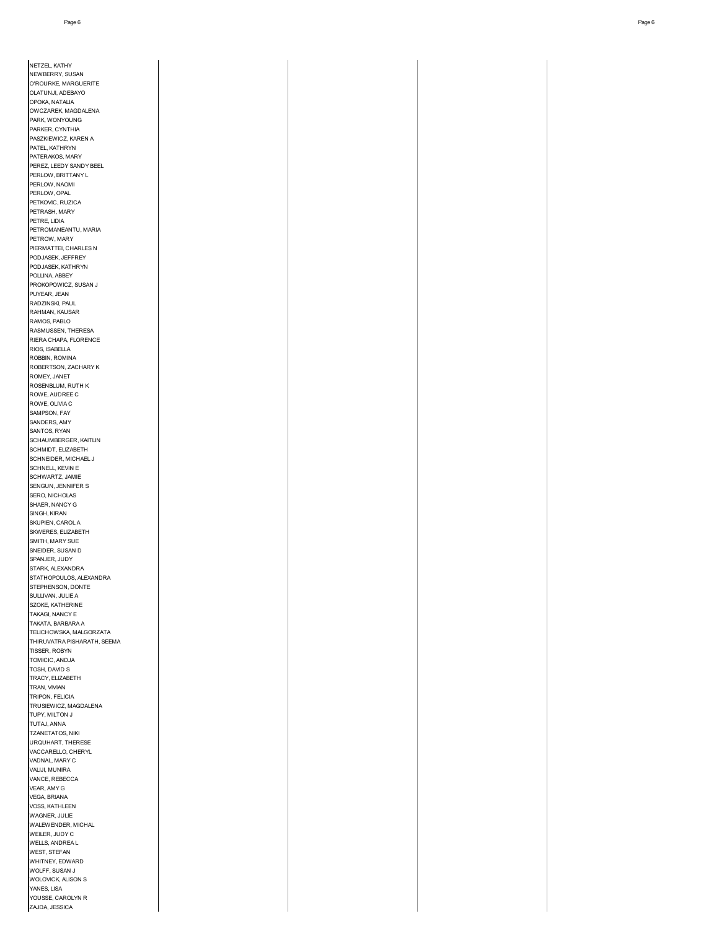| NETZEL, KATHY                                          |
|--------------------------------------------------------|
| NEWBERRY, SUSAN<br>O'ROURKE, MARGUERITE                |
| OLATUNJI, ADEBAYO                                      |
| OPOKA, NATALIA<br>OWCZAREK, MAGDALENA                  |
| PARK, WONYOUNG                                         |
| PARKER, CYNTHIA<br>PASZKIEWICZ, KAREN A                |
| PATEL, KATHRYN                                         |
| PATERAKOS, MARY<br>PEREZ, LEEDY SANDY BEEL             |
| PERLOW, BRITTANY L                                     |
| PERLOW, NAOMI<br>PERLOW, OPAL                          |
| PETKOVIC, RUZICA                                       |
| PETRASH, MARY<br>PETRE, LIDIA                          |
| PETROMANEANTU, MARIA                                   |
| PETROW, MARY<br>PIERMATTEI, CHARLES N                  |
| PODJASEK, JEFFREY                                      |
| PODJASEK, KATHRYN<br>POLLINA, ABBEY                    |
| PROKOPOWICZ, SUSAN J                                   |
| PUYEAR, JEAN<br>RADZINSKI, PAUL                        |
| RAHMAN, KAUSAR                                         |
| RAMOS, PABLO<br>RASMUSSEN, THERESA                     |
| RIERA CHAPA, FLORENCE                                  |
| RIOS, ISABELLA<br>ROBBIN, ROMINA                       |
| ROBERTSON, ZACHARY K                                   |
| ROMEY, JANET<br>ROSENBLUM, RUTH K                      |
| ROWE, AUDREE C                                         |
| ROWE, OLIVIA C                                         |
| SAMPSON, FAY<br>SANDERS, AMY                           |
| SANTOS, RYAN                                           |
| SCHAUMBERGER, KAITLIN<br>SCHMIDT, ELIZABETH            |
| SCHNEIDER, MICHAEL J                                   |
| SCHNELL, KEVIN E<br>SCHWARTZ, JAMIE                    |
| SENGUN, JENNIFER S                                     |
| SERO, NICHOLAS<br>SHAER, NANCY G                       |
| SINGH, KIRAN                                           |
| SKUPIEN, CAROL A<br>SKWERES, ELIZABETH                 |
| SMITH, MARY SUE                                        |
| SNEIDER, SUSAN D<br>SPANJER, JUDY                      |
| STARK, ALEXANDRA                                       |
| STATHOPOULOS, ALEXANDRA<br>STEPHENSON, DONTE           |
| SULLIVAN, JULIE A                                      |
| SZOKE, KATHERINE<br>TAKAGI, NANCY E                    |
| TAKATA, BARBARA A                                      |
| TELICHOWSKA, MALGORZATA<br>THIRUVATRA PISHARATH, SEEMA |
| TISSER, ROBYN                                          |
| TOMICIC, ANDJA<br>TOSH, DAVID S                        |
| TRACY, ELIZABETH                                       |
| TRAN, VIVIAN<br>TRIPON, FELICIA                        |
| TRUSIEWICZ, MAGDALENA                                  |
| TUPY, MILTON J<br>TUTAJ, ANNA                          |
| TZANETATOS, NIKI                                       |
| URQUHART, THERESE<br>VACCARELLO, CHERYL                |
| VADNAL, MARY C                                         |
| VALIJI, MUNIRA<br>VANCE, REBECCA                       |
| VEAR, AMY G                                            |
| VEGA, BRIANA                                           |
| VOSS, KATHLEEN<br>WAGNER, JULIE                        |
| WALEWENDER, MICHAL                                     |
| WEILER, JUDY C<br>WELLS, ANDREA L                      |
| WEST, STEFAN                                           |
| WHITNEY, EDWARD<br>WOLFF, SUSAN J                      |
| WOLOVICK, ALISON S                                     |
| YANES, LISA<br>YOUSSE, CAROLYN R                       |
| ZAJDA, JESSICA                                         |
|                                                        |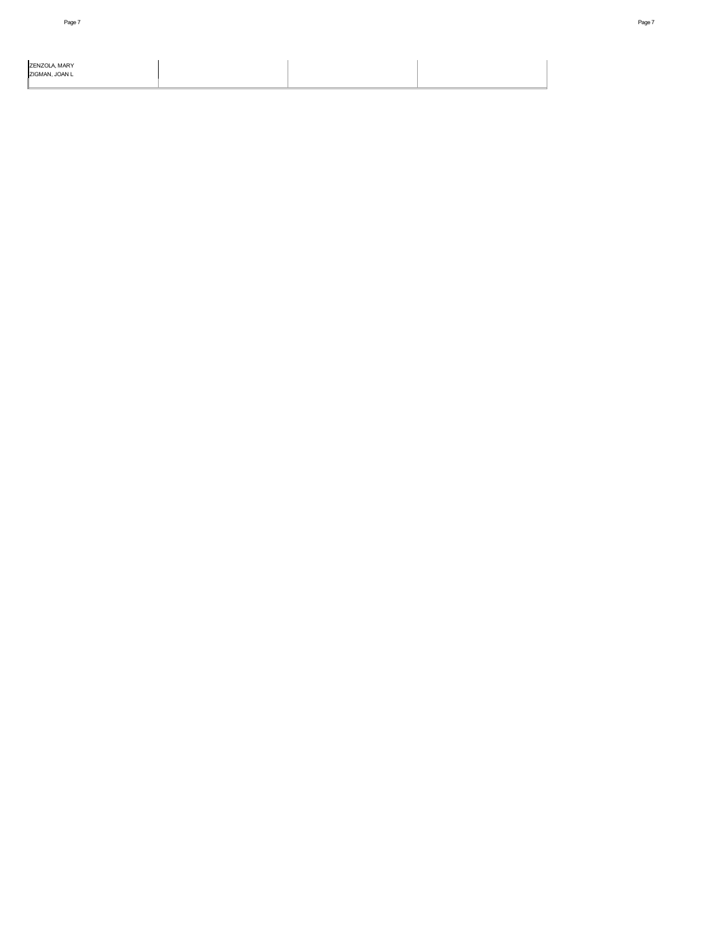| ZENZOLA, MARY<br>ZIGMAN. JOAN L |  |  |
|---------------------------------|--|--|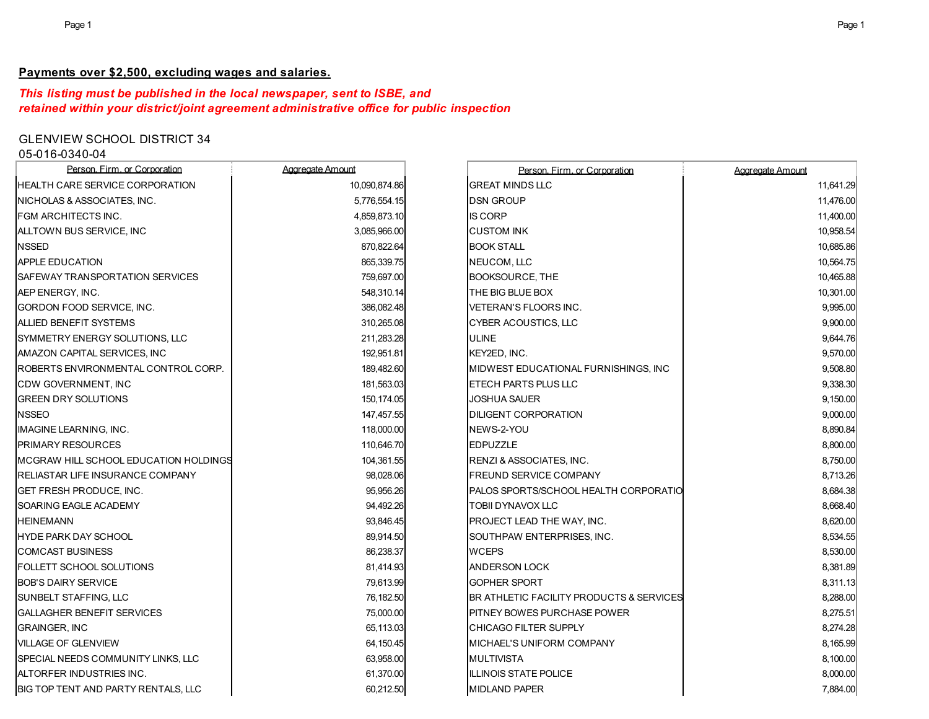## **Payments over \$2,500, excluding wages and salaries.**

## *This listing must be published in the local newspaper, sent to ISBE, and retained within your district/joint agreement administrative office for public inspection*

# GLENVIEW SCHOOL DISTRICT 34

## 05-016-0340-04

| Person. Firm. or Corporation          | Aggregate Amount | Person, Firm, or Corporation             | Aggregate Amount |
|---------------------------------------|------------------|------------------------------------------|------------------|
| IHEALTH CARE SERVICE CORPORATION      | 10,090,874.86    | <b>GREAT MINDS LLC</b>                   | 11,641.29        |
| NICHOLAS & ASSOCIATES, INC.           | 5,776,554.15     | <b>DSN GROUP</b>                         | 11,476.00        |
| FGM ARCHITECTS INC.                   | 4,859,873.10     | <b>IS CORP</b>                           | 11,400.00        |
| ALLTOWN BUS SERVICE, INC              | 3,085,966.00     | <b>CUSTOM INK</b>                        | 10,958.54        |
| <b>NSSED</b>                          | 870.822.64       | <b>BOOK STALL</b>                        | 10,685.86        |
| <b>APPLE EDUCATION</b>                | 865,339.75       | NEUCOM, LLC                              | 10,564.75        |
| SAFEWAY TRANSPORTATION SERVICES       | 759,697.00       | <b>BOOKSOURCE, THE</b>                   | 10,465.88        |
| AEP ENERGY, INC.                      | 548.310.14       | THE BIG BLUE BOX                         | 10,301.00        |
| GORDON FOOD SERVICE, INC.             | 386,082.48       | VETERAN'S FLOORS INC.                    | 9,995.00         |
| <b>ALLIED BENEFIT SYSTEMS</b>         | 310,265.08       | <b>CYBER ACOUSTICS, LLC</b>              | 9,900.00         |
| SYMMETRY ENERGY SOLUTIONS, LLC        | 211,283.28       | <b>ULINE</b>                             | 9,644.76         |
| AMAZON CAPITAL SERVICES, INC          | 192,951.81       | KEY2ED, INC.                             | 9,570.00         |
| ROBERTS ENVIRONMENTAL CONTROL CORP.   | 189,482.60       | MIDWEST EDUCATIONAL FURNISHINGS, INC     | 9,508.80         |
| CDW GOVERNMENT, INC                   | 181,563.03       | ETECH PARTS PLUS LLC                     | 9,338.30         |
| <b>GREEN DRY SOLUTIONS</b>            | 150,174.05       | <b>JOSHUA SAUER</b>                      | 9,150.00         |
| <b>NSSEO</b>                          | 147,457.55       | <b>DILIGENT CORPORATION</b>              | 9,000.00         |
| IMAGINE LEARNING, INC.                | 118,000.00       | NEWS-2-YOU                               | 8,890.84         |
| <b>PRIMARY RESOURCES</b>              | 110,646.70       | <b>EDPUZZLE</b>                          | 8,800.00         |
| MCGRAW HILL SCHOOL EDUCATION HOLDINGS | 104,361.55       | RENZI & ASSOCIATES, INC.                 | 8,750.00         |
| RELIASTAR LIFE INSURANCE COMPANY      | 98,028.06        | <b>FREUND SERVICE COMPANY</b>            | 8,713.26         |
| <b>GET FRESH PRODUCE, INC.</b>        | 95,956.26        | PALOS SPORTS/SCHOOL HEALTH CORPORATIO    | 8,684.38         |
| SOARING EAGLE ACADEMY                 | 94,492.26        | <b>TOBII DYNAVOX LLC</b>                 | 8,668.40         |
| <b>HEINEMANN</b>                      | 93,846.45        | PROJECT LEAD THE WAY, INC.               | 8,620.00         |
| <b>HYDE PARK DAY SCHOOL</b>           | 89,914.50        | SOUTHPAW ENTERPRISES, INC.               | 8,534.55         |
| <b>COMCAST BUSINESS</b>               | 86,238.37        | <b>WCEPS</b>                             | 8,530.00         |
| <b>FOLLETT SCHOOL SOLUTIONS</b>       | 81,414.93        | ANDERSON LOCK                            | 8,381.89         |
| <b>BOB'S DAIRY SERVICE</b>            | 79,613.99        | <b>GOPHER SPORT</b>                      | 8,311.13         |
| SUNBELT STAFFING, LLC                 | 76,182.50        | BR ATHLETIC FACILITY PRODUCTS & SERVICES | 8,288.00         |
| <b>GALLAGHER BENEFIT SERVICES</b>     | 75,000.00        | PITNEY BOWES PURCHASE POWER              | 8,275.51         |
| <b>GRAINGER, INC</b>                  | 65,113.03        | <b>CHICAGO FILTER SUPPLY</b>             | 8,274.28         |
| <b>VILLAGE OF GLENVIEW</b>            | 64,150.45        | MICHAEL'S UNIFORM COMPANY                | 8,165.99         |
| SPECIAL NEEDS COMMUNITY LINKS, LLC    | 63,958.00        | <b>MULTIVISTA</b>                        | 8,100.00         |
| ALTORFER INDUSTRIES INC.              | 61,370.00        | <b>ILLINOIS STATE POLICE</b>             | 8,000.00         |
| BIG TOP TENT AND PARTY RENTALS, LLC   | 60,212.50        | <b>MIDLAND PAPER</b>                     | 7,884.00         |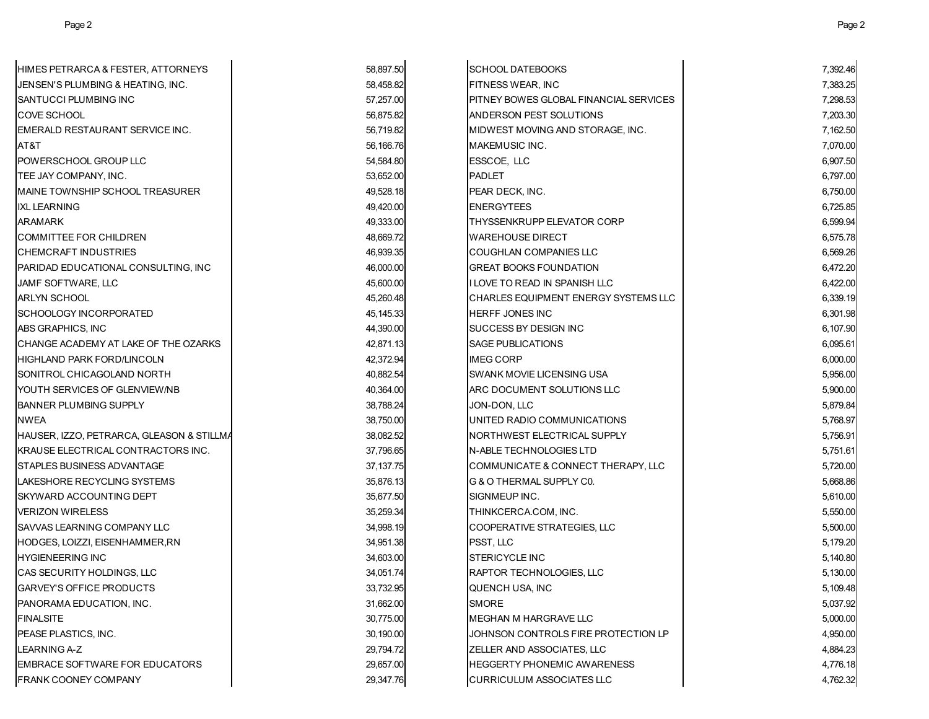| HIMES PETRARCA & FESTER, ATTORNEYS        | 58,897.50   | <b>SCHOOL DATEBOOKS</b>                | 7,392.46 |
|-------------------------------------------|-------------|----------------------------------------|----------|
| JENSEN'S PLUMBING & HEATING, INC.         | 58,458.82   | <b>FITNESS WEAR, INC</b>               | 7,383.25 |
| SANTUCCI PLUMBING INC                     | 57,257.00   | PITNEY BOWES GLOBAL FINANCIAL SERVICES | 7,298.53 |
| <b>COVE SCHOOL</b>                        | 56,875.82   | ANDERSON PEST SOLUTIONS                | 7,203.30 |
| EMERALD RESTAURANT SERVICE INC.           | 56,719.82   | MIDWEST MOVING AND STORAGE, INC.       | 7,162.50 |
| AT&T                                      | 56,166.76   | MAKEMUSIC INC.                         | 7,070.00 |
| POWERSCHOOL GROUP LLC                     | 54,584.80   | ESSCOE, LLC                            | 6,907.50 |
| TEE JAY COMPANY, INC.                     | 53,652.00   | <b>PADLET</b>                          | 6,797.00 |
| MAINE TOWNSHIP SCHOOL TREASURER           | 49,528.18   | PEAR DECK, INC.                        | 6,750.00 |
| <b>IXL LEARNING</b>                       | 49,420.00   | <b>ENERGYTEES</b>                      | 6,725.85 |
| <b>ARAMARK</b>                            | 49,333.00   | THYSSENKRUPP ELEVATOR CORP             | 6,599.94 |
| <b>COMMITTEE FOR CHILDREN</b>             | 48,669.72   | <b>WAREHOUSE DIRECT</b>                | 6,575.78 |
| <b>CHEMCRAFT INDUSTRIES</b>               | 46,939.35   | COUGHLAN COMPANIES LLC                 | 6,569.26 |
| PARIDAD EDUCATIONAL CONSULTING, INC       | 46,000.00   | <b>GREAT BOOKS FOUNDATION</b>          | 6,472.20 |
| JAMF SOFTWARE, LLC                        | 45,600.00   | I LOVE TO READ IN SPANISH LLC          | 6,422.00 |
| <b>ARLYN SCHOOL</b>                       | 45,260.48   | CHARLES EQUIPMENT ENERGY SYSTEMS LLC   | 6,339.19 |
| <b>SCHOOLOGY INCORPORATED</b>             | 45,145.33   | <b>HERFF JONES INC</b>                 | 6,301.98 |
| ABS GRAPHICS, INC                         | 44,390.00   | <b>SUCCESS BY DESIGN INC</b>           | 6,107.90 |
| CHANGE ACADEMY AT LAKE OF THE OZARKS      | 42,871.13   | <b>SAGE PUBLICATIONS</b>               | 6,095.61 |
| HIGHLAND PARK FORD/LINCOLN                | 42,372.94   | <b>IMEG CORP</b>                       | 6,000.00 |
| SONITROL CHICAGOLAND NORTH                | 40,882.54   | SWANK MOVIE LICENSING USA              | 5,956.00 |
| YOUTH SERVICES OF GLENVIEW/NB             | 40,364.00   | ARC DOCUMENT SOLUTIONS LLC             | 5,900.00 |
| <b>BANNER PLUMBING SUPPLY</b>             | 38,788.24   | JON-DON, LLC                           | 5,879.84 |
| <b>NWEA</b>                               | 38,750.00   | UNITED RADIO COMMUNICATIONS            | 5,768.97 |
| HAUSER, IZZO, PETRARCA, GLEASON & STILLMA | 38,082.52   | NORTHWEST ELECTRICAL SUPPLY            | 5,756.91 |
| KRAUSE ELECTRICAL CONTRACTORS INC.        | 37,796.65   | <b>N-ABLE TECHNOLOGIES LTD</b>         | 5,751.61 |
| STAPLES BUSINESS ADVANTAGE                | 37, 137. 75 | COMMUNICATE & CONNECT THERAPY, LLC     | 5,720.00 |
| LAKESHORE RECYCLING SYSTEMS               | 35,876.13   | G & O THERMAL SUPPLY C0.               | 5,668.86 |
| SKYWARD ACCOUNTING DEPT                   | 35,677.50   | SIGNMEUP INC.                          | 5,610.00 |
| <b>VERIZON WIRELESS</b>                   | 35,259.34   | THINKCERCA.COM, INC.                   | 5,550.00 |
| SAVVAS LEARNING COMPANY LLC               | 34,998.19   | COOPERATIVE STRATEGIES, LLC            | 5,500.00 |
| HODGES, LOIZZI, EISENHAMMER,RN            | 34,951.38   | PSST, LLC                              | 5,179.20 |
| <b>HYGIENEERING INC</b>                   | 34,603.00   | <b>STERICYCLE INC</b>                  | 5,140.80 |
| CAS SECURITY HOLDINGS, LLC                | 34,051.74   | <b>RAPTOR TECHNOLOGIES, LLC</b>        | 5,130.00 |
| GARVEY'S OFFICE PRODUCTS                  | 33,732.95   | QUENCH USA, INC                        | 5,109.48 |
| PANORAMA EDUCATION, INC.                  | 31,662.00   | <b>SMORE</b>                           | 5,037.92 |
| <b>FINALSITE</b>                          | 30,775.00   | <b>MEGHAN M HARGRAVE LLC</b>           | 5,000.00 |
| PEASE PLASTICS, INC.                      | 30,190.00   | JOHNSON CONTROLS FIRE PROTECTION LP    | 4,950.00 |
| LEARNING A-Z                              | 29,794.72   | ZELLER AND ASSOCIATES, LLC             | 4,884.23 |
| EMBRACE SOFTWARE FOR EDUCATORS            | 29,657.00   | <b>HEGGERTY PHONEMIC AWARENESS</b>     | 4,776.18 |
| FRANK COONEY COMPANY                      | 29,347.76   | <b>CURRICULUM ASSOCIATES LLC</b>       | 4,762.32 |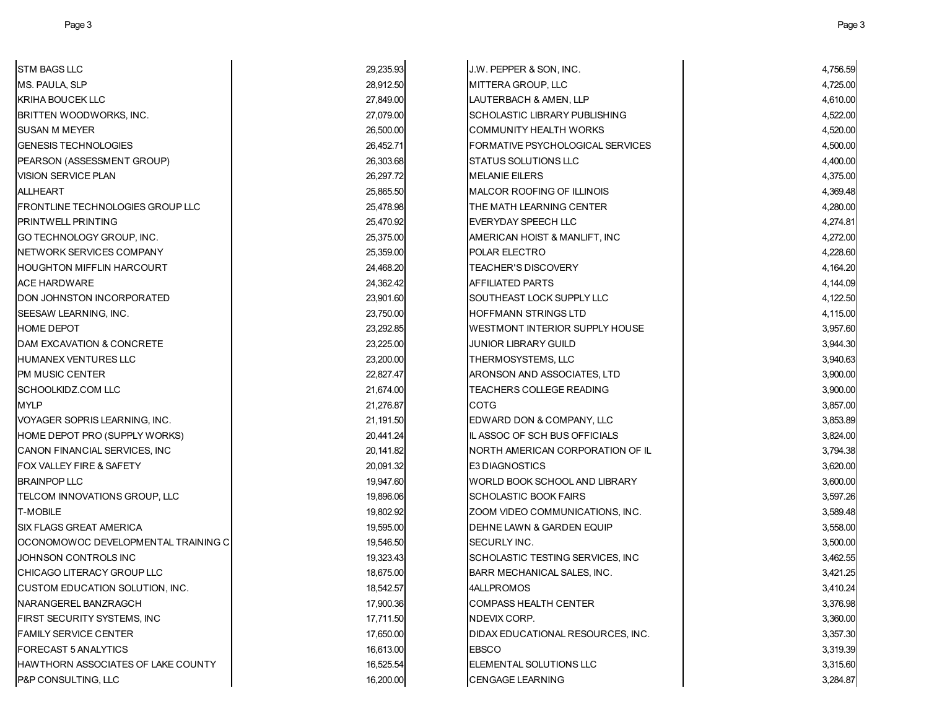| STM BAGS LLC                         | 29,235.93 | J.W. PEPPER & SON, INC.                 | 4,756.59 |
|--------------------------------------|-----------|-----------------------------------------|----------|
| MS. PAULA, SLP                       | 28,912.50 | MITTERA GROUP, LLC                      | 4,725.00 |
| KRIHA BOUCEK LLC                     | 27,849.00 | LAUTERBACH & AMEN, LLP                  | 4,610.00 |
| BRITTEN WOODWORKS, INC.              | 27,079.00 | <b>SCHOLASTIC LIBRARY PUBLISHING</b>    | 4,522.00 |
| SUSAN M MEYER                        | 26,500.00 | <b>COMMUNITY HEALTH WORKS</b>           | 4,520.00 |
| <b>GENESIS TECHNOLOGIES</b>          | 26,452.71 | <b>FORMATIVE PSYCHOLOGICAL SERVICES</b> | 4,500.00 |
| PEARSON (ASSESSMENT GROUP)           | 26,303.68 | <b>STATUS SOLUTIONS LLC</b>             | 4,400.00 |
| VISION SERVICE PLAN                  | 26.297.72 | <b>MELANIE EILERS</b>                   | 4,375.00 |
| ALLHEART                             | 25,865.50 | MALCOR ROOFING OF ILLINOIS              | 4,369.48 |
| FRONTLINE TECHNOLOGIES GROUP LLC     | 25,478.98 | THE MATH LEARNING CENTER                | 4,280.00 |
| PRINTWELL PRINTING                   | 25,470.92 | EVERYDAY SPEECH LLC                     | 4,274.81 |
| GO TECHNOLOGY GROUP, INC.            | 25,375.00 | AMERICAN HOIST & MANLIFT, INC           | 4,272.00 |
| NETWORK SERVICES COMPANY             | 25,359.00 | <b>POLAR ELECTRO</b>                    | 4,228.60 |
| HOUGHTON MIFFLIN HARCOURT            | 24,468.20 | <b>TEACHER'S DISCOVERY</b>              | 4,164.20 |
| ACE HARDWARE                         | 24,362.42 | <b>AFFILIATED PARTS</b>                 | 4,144.09 |
| DON JOHNSTON INCORPORATED            | 23,901.60 | SOUTHEAST LOCK SUPPLY LLC               | 4,122.50 |
| SEESAW LEARNING, INC.                | 23,750.00 | HOFFMANN STRINGS LTD                    | 4,115.00 |
| HOME DEPOT                           | 23,292.85 | <b>WESTMONT INTERIOR SUPPLY HOUSE</b>   | 3,957.60 |
| <b>DAM EXCAVATION &amp; CONCRETE</b> | 23,225.00 | <b>JUNIOR LIBRARY GUILD</b>             | 3,944.30 |
| HUMANEX VENTURES LLC                 | 23,200.00 | THERMOSYSTEMS, LLC                      | 3,940.63 |
| PM MUSIC CENTER                      | 22,827.47 | ARONSON AND ASSOCIATES, LTD             | 3,900.00 |
| SCHOOLKIDZ.COM LLC                   | 21,674.00 | TEACHERS COLLEGE READING                | 3,900.00 |
| MYLP                                 | 21,276.87 | <b>COTG</b>                             | 3,857.00 |
| VOYAGER SOPRIS LEARNING, INC.        | 21,191.50 | EDWARD DON & COMPANY, LLC               | 3,853.89 |
| HOME DEPOT PRO (SUPPLY WORKS)        | 20,441.24 | IL ASSOC OF SCH BUS OFFICIALS           | 3,824.00 |
| CANON FINANCIAL SERVICES, INC        | 20,141.82 | INORTH AMERICAN CORPORATION OF IL       | 3,794.38 |
| FOX VALLEY FIRE & SAFETY             | 20,091.32 | <b>E3 DIAGNOSTICS</b>                   | 3,620.00 |
| BRAINPOP LLC                         | 19,947.60 | WORLD BOOK SCHOOL AND LIBRARY           | 3,600.00 |
| TELCOM INNOVATIONS GROUP, LLC        | 19,896.06 | <b>SCHOLASTIC BOOK FAIRS</b>            | 3,597.26 |
| T-MOBILE                             | 19,802.92 | ZOOM VIDEO COMMUNICATIONS, INC.         | 3,589.48 |
| SIX FLAGS GREAT AMERICA              | 19,595.00 | DEHNE LAWN & GARDEN EQUIP               | 3,558.00 |
| OCONOMOWOC DEVELOPMENTAL TRAINING C  | 19,546.50 | SECURLY INC.                            | 3,500.00 |
| JOHNSON CONTROLS INC                 | 19,323.43 | SCHOLASTIC TESTING SERVICES, INC        | 3,462.55 |
| CHICAGO LITERACY GROUP LLC           | 18,675.00 | BARR MECHANICAL SALES, INC.             | 3,421.25 |
| CUSTOM EDUCATION SOLUTION, INC.      | 18,542.57 | 4ALLPROMOS                              | 3,410.24 |
| NARANGEREL BANZRAGCH                 | 17,900.36 | <b>COMPASS HEALTH CENTER</b>            | 3,376.98 |
| FIRST SECURITY SYSTEMS, INC          | 17,711.50 | NDEVIX CORP.                            | 3,360.00 |
| FAMILY SERVICE CENTER                | 17,650.00 | DIDAX EDUCATIONAL RESOURCES, INC.       | 3,357.30 |
| FORECAST 5 ANALYTICS                 | 16,613.00 | <b>EBSCO</b>                            | 3,319.39 |
| HAWTHORN ASSOCIATES OF LAKE COUNTY   | 16,525.54 | <b>IELEMENTAL SOLUTIONS LLC</b>         | 3,315.60 |
| P&P CONSULTING, LLC                  | 16,200.00 | <b>CENGAGE LEARNING</b>                 | 3,284.87 |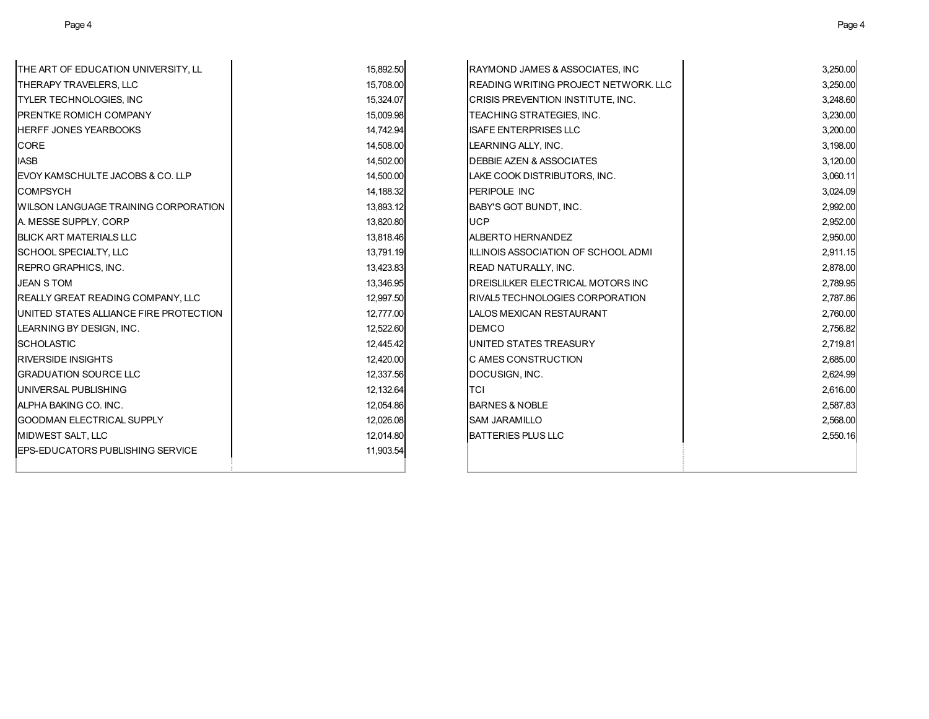| THE ART OF EDUCATION UNIVERSITY, LL    | 15,892.50 | RAYMOND JAMES & ASSOCIATES, INC         | 3,250.00 |
|----------------------------------------|-----------|-----------------------------------------|----------|
| THERAPY TRAVELERS. LLC                 | 15,708.00 | IREADING WRITING PROJECT NETWORK. LLC   | 3,250.00 |
| TYLER TECHNOLOGIES, INC                | 15,324.07 | CRISIS PREVENTION INSTITUTE, INC.       | 3,248.60 |
| PRENTKE ROMICH COMPANY                 | 15,009.98 | TEACHING STRATEGIES, INC.               | 3,230.00 |
| <b>HERFF JONES YEARBOOKS</b>           | 14,742.94 | <b>ISAFE ENTERPRISES LLC</b>            | 3,200.00 |
| CORE                                   | 14,508.00 | LEARNING ALLY, INC.                     | 3,198.00 |
| <b>IASB</b>                            | 14,502.00 | <b>DEBBIE AZEN &amp; ASSOCIATES</b>     | 3,120.00 |
| EVOY KAMSCHULTE JACOBS & CO. LLP       | 14,500.00 | LAKE COOK DISTRIBUTORS, INC.            | 3,060.11 |
| <b>COMPSYCH</b>                        | 14,188.32 | PERIPOLE INC                            | 3,024.09 |
| WILSON LANGUAGE TRAINING CORPORATION   | 13,893.12 | <b>BABY'S GOT BUNDT, INC.</b>           | 2,992.00 |
| A. MESSE SUPPLY, CORP                  | 13,820.80 | <b>UCP</b>                              | 2,952.00 |
| BLICK ART MATERIALS LLC                | 13,818.46 | <b>ALBERTO HERNANDEZ</b>                | 2,950.00 |
| SCHOOL SPECIALTY, LLC                  | 13,791.19 | IILLINOIS ASSOCIATION OF SCHOOL ADMI    | 2,911.15 |
| REPRO GRAPHICS, INC.                   | 13,423.83 | <b>READ NATURALLY, INC.</b>             | 2,878.00 |
| <b>JEAN S TOM</b>                      | 13,346.95 | DREISLILKER ELECTRICAL MOTORS INC       | 2,789.95 |
| REALLY GREAT READING COMPANY, LLC      | 12,997.50 | <b>IRIVAL5 TECHNOLOGIES CORPORATION</b> | 2,787.86 |
| UNITED STATES ALLIANCE FIRE PROTECTION | 12,777.00 | LALOS MEXICAN RESTAURANT                | 2,760.00 |
| LEARNING BY DESIGN, INC.               | 12,522.60 | <b>DEMCO</b>                            | 2,756.82 |
| <b>SCHOLASTIC</b>                      | 12.445.42 | UNITED STATES TREASURY                  | 2,719.81 |
| RIVERSIDE INSIGHTS                     | 12,420.00 | <b>C AMES CONSTRUCTION</b>              | 2,685.00 |
| <b>GRADUATION SOURCE LLC</b>           | 12,337.56 | DOCUSIGN, INC.                          | 2,624.99 |
| UNIVERSAL PUBLISHING                   | 12,132.64 | <b>TCI</b>                              | 2,616.00 |
| ALPHA BAKING CO. INC.                  | 12,054.86 | <b>BARNES &amp; NOBLE</b>               | 2,587.83 |
| <b>GOODMAN ELECTRICAL SUPPLY</b>       | 12,026.08 | <b>ISAM JARAMILLO</b>                   | 2,568.00 |
| MIDWEST SALT, LLC                      | 12,014.80 | <b>BATTERIES PLUS LLC</b>               | 2,550.16 |
| EPS-EDUCATORS PUBLISHING SERVICE       | 11,903.54 |                                         |          |
|                                        |           |                                         |          |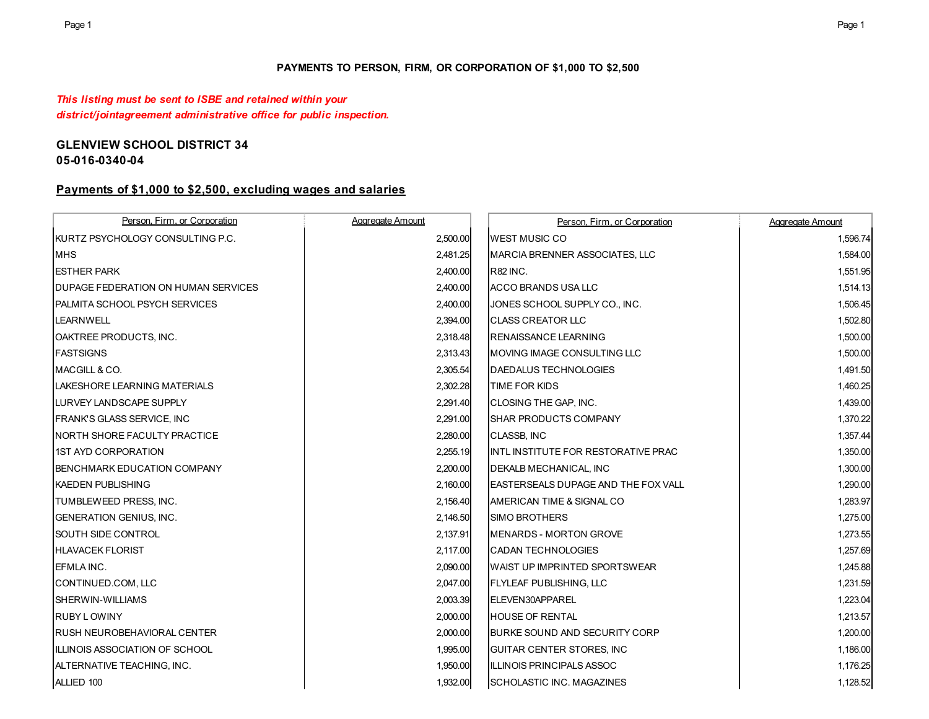### **PAYMENTS TO PERSON, FIRM, OR CORPORATION OF \$1,000 TO \$2,500**

*This listing must be sent to ISBE and retained within your district/jointagreement administrative office for public inspection.*

# **GLENVIEW SCHOOL DISTRICT 34**

# **05-016-0340-04**

## **Payments of \$1,000 to \$2,500, excluding wages and salaries**

| Person. Firm. or Corporation               | Aggregate Amount | Person, Firm, or Corporation                | Aggregate Amount |
|--------------------------------------------|------------------|---------------------------------------------|------------------|
| <b>IKURTZ PSYCHOLOGY CONSULTING P.C.</b>   | 2,500.00         | <b>WEST MUSIC CO</b>                        | 1,596.74         |
| <b>MHS</b>                                 | 2,481.25         | MARCIA BRENNER ASSOCIATES, LLC              | 1,584.00         |
| <b>ESTHER PARK</b>                         | 2,400.00         | <b>R82 INC.</b>                             | 1,551.95         |
| <b>DUPAGE FEDERATION ON HUMAN SERVICES</b> | 2,400.00         | ACCO BRANDS USA LLC                         | 1,514.13         |
| PALMITA SCHOOL PSYCH SERVICES              | 2,400.00         | JONES SCHOOL SUPPLY CO., INC.               | 1,506.45         |
| <b>LEARNWELL</b>                           | 2,394.00         | <b>CLASS CREATOR LLC</b>                    | 1,502.80         |
| OAKTREE PRODUCTS, INC.                     | 2,318.48         | <b>RENAISSANCE LEARNING</b>                 | 1,500.00         |
| <b>FASTSIGNS</b>                           | 2,313.43         | MOVING IMAGE CONSULTING LLC                 | 1,500.00         |
| IMACGILL & CO.                             | 2,305.54         | <b>DAEDALUS TECHNOLOGIES</b>                | 1,491.50         |
| ILAKESHORE LEARNING MATERIALS              | 2,302.28         | TIME FOR KIDS                               | 1,460.25         |
| LURVEY LANDSCAPE SUPPLY                    | 2,291.40         | CLOSING THE GAP, INC.                       | 1,439.00         |
| <b>FRANK'S GLASS SERVICE, INC.</b>         | 2,291.00         | <b>SHAR PRODUCTS COMPANY</b>                | 1,370.22         |
| INORTH SHORE FACULTY PRACTICE              | 2,280.00         | CLASSB, INC                                 | 1,357.44         |
| <b>1ST AYD CORPORATION</b>                 | 2,255.19         | <b>IINTL INSTITUTE FOR RESTORATIVE PRAC</b> | 1,350.00         |
| <b>BENCHMARK EDUCATION COMPANY</b>         | 2,200.00         | DEKALB MECHANICAL, INC                      | 1,300.00         |
| <b>KAEDEN PUBLISHING</b>                   | 2,160.00         | <b>LEASTERSEALS DUPAGE AND THE FOX VALL</b> | 1,290.00         |
| <b>TUMBLEWEED PRESS. INC.</b>              | 2,156.40         | AMERICAN TIME & SIGNAL CO                   | 1,283.97         |
| <b>GENERATION GENIUS, INC.</b>             | 2,146.50         | <b>SIMO BROTHERS</b>                        | 1,275.00         |
| <b>SOUTH SIDE CONTROL</b>                  | 2,137.91         | <b>IMENARDS - MORTON GROVE</b>              | 1,273.55         |
| <b>HLAVACEK FLORIST</b>                    | 2,117.00         | <b>CADAN TECHNOLOGIES</b>                   | 1,257.69         |
| EFMLA INC.                                 | 2,090.00         | <b>WAIST UP IMPRINTED SPORTSWEAR</b>        | 1,245.88         |
| CONTINUED.COM, LLC                         | 2,047.00         | <b>FLYLEAF PUBLISHING, LLC</b>              | 1,231.59         |
| <b>ISHERWIN-WILLIAMS</b>                   | 2,003.39         | ELEVEN30APPAREL                             | 1,223.04         |
| <b>RUBY LOWINY</b>                         | 2,000.00         | <b>HOUSE OF RENTAL</b>                      | 1,213.57         |
| <b>RUSH NEUROBEHAVIORAL CENTER</b>         | 2,000.00         | <b>BURKE SOUND AND SECURITY CORP</b>        | 1,200.00         |
| ILLINOIS ASSOCIATION OF SCHOOL             | 1,995.00         | <b>GUITAR CENTER STORES, INC.</b>           | 1,186.00         |
| ALTERNATIVE TEACHING, INC.                 | 1,950.00         | ILLINOIS PRINCIPALS ASSOC                   | 1,176.25         |
| ALLIED 100                                 | 1,932.00         | <b>SCHOLASTIC INC. MAGAZINES</b>            | 1,128.52         |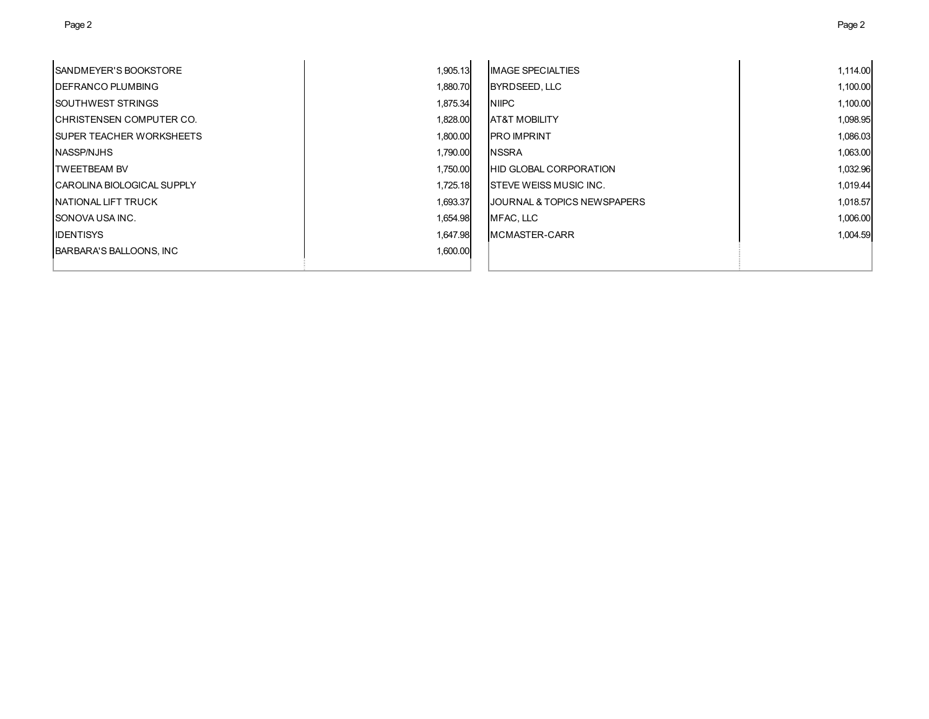| <b>ISANDMEYER'S BOOKSTORE</b>      | 1,905.13 | <b>IMAGE SPECIALTIES</b>                | 1,114.00 |
|------------------------------------|----------|-----------------------------------------|----------|
| <b>IDEFRANCO PLUMBING</b>          | 1,880.70 | BYRDSEED, LLC                           | 1,100.00 |
| <b>ISOUTHWEST STRINGS</b>          | 1,875.34 | <b>NIPC</b>                             | 1,100.00 |
| <b>ICHRISTENSEN COMPUTER CO.</b>   | 1,828.00 | <b>AT&amp;T MOBILITY</b>                | 1,098.95 |
| <b>ISUPER TEACHER WORKSHEETS</b>   | 1,800.00 | <b>IPRO IMPRINT</b>                     | 1,086.03 |
| NASSP/NJHS                         | 1,790.00 | <b>NSSRA</b>                            | 1,063.00 |
| <b>TWEETBEAM BV</b>                | 1,750.00 | <b>HID GLOBAL CORPORATION</b>           | 1,032.96 |
| <b>ICAROLINA BIOLOGICAL SUPPLY</b> | 1,725.18 | <b>ISTEVE WEISS MUSIC INC.</b>          | 1,019.44 |
| <b>INATIONAL LIFT TRUCK</b>        | 1,693.37 | <b>IJOURNAL &amp; TOPICS NEWSPAPERS</b> | 1,018.57 |
| <b>ISONOVA USA INC.</b>            | 1,654.98 | MFAC, LLC                               | 1,006.00 |
| <b>IDENTISYS</b>                   | 1,647.98 | <b>IMCMASTER-CARR</b>                   | 1,004.59 |
| BARBARA'S BALLOONS, INC            | 1,600.00 |                                         |          |
|                                    |          |                                         |          |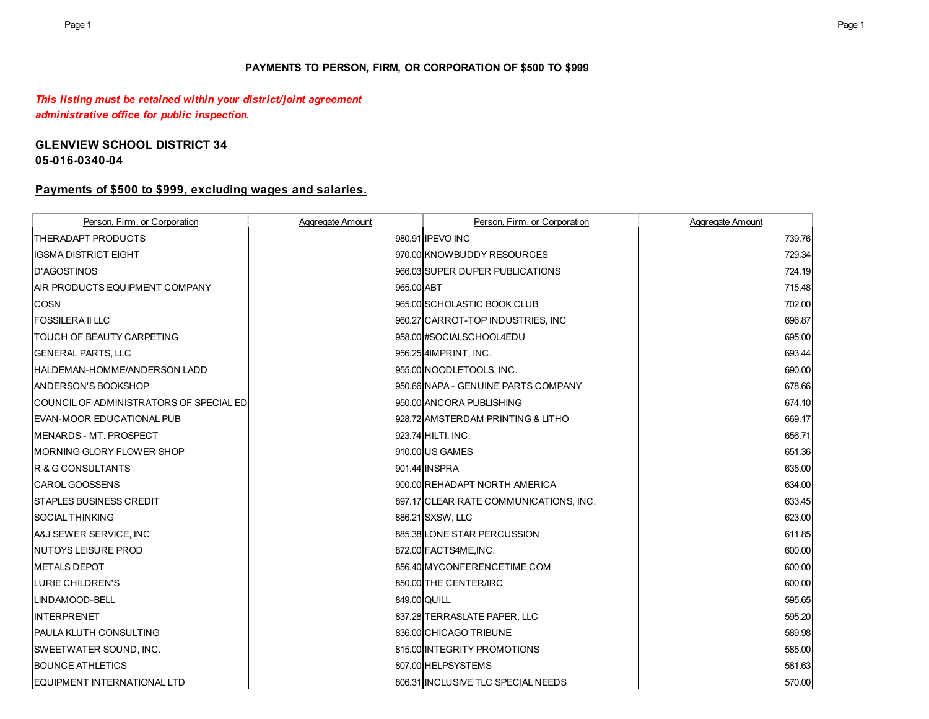### **PAYMENTS TO PERSON, FIRM, OR CORPORATION OF \$500 TO \$999**

### *This listing must be retained within your district/joint agreement administrative office for public inspection.*

### **GLENVIEW SCHOOL DISTRICT 34 05-016-0340-04**

### **Payments of \$500 to \$999, excluding wages and salaries.**

| Person. Firm. or Corporation                    | Aggregate Amount | Person, Firm, or Corporation           | Aggregate Amount |
|-------------------------------------------------|------------------|----------------------------------------|------------------|
| <b>ITHERADAPT PRODUCTS</b>                      |                  | 980.91 IPEVO INC                       | 739.76           |
| <b>IIGSMA DISTRICT EIGHT</b>                    |                  | 970.00 KNOWBUDDY RESOURCES             | 729.34           |
| <b>ID'AGOSTINOS</b>                             |                  | 966.03 SUPER DUPER PUBLICATIONS        | 724.19           |
| AIR PRODUCTS EQUIPMENT COMPANY                  | 965.00 ABT       |                                        | 715.48           |
| <b>COSN</b>                                     |                  | 965.00 SCHOLASTIC BOOK CLUB            | 702.00           |
| <b>FOSSILERA II LLC</b>                         |                  | 960.27 CARROT-TOP INDUSTRIES, INC      | 696.87           |
| <b>ITOUCH OF BEAUTY CARPETING</b>               |                  | 958.00 #SOCIALSCHOOL4EDU               | 695.00           |
| <b>GENERAL PARTS, LLC</b>                       |                  | 956.25 4IMPRINT, INC.                  | 693.44           |
| <b>IHALDEMAN-HOMME/ANDERSON LADD</b>            |                  | 955.00 NOODLETOOLS. INC.               | 690.00           |
| <b>ANDERSON'S BOOKSHOP</b>                      |                  | 950.66 NAPA - GENUINE PARTS COMPANY    | 678.66           |
| <b>ICOUNCIL OF ADMINISTRATORS OF SPECIAL ED</b> |                  | 950.00 ANCORA PUBLISHING               | 674.10           |
| EVAN-MOOR EDUCATIONAL PUB                       |                  | 928.72 AMSTERDAM PRINTING & LITHO      | 669.17           |
| MENARDS - MT. PROSPECT                          |                  | 923.74 HILTI, INC.                     | 656.71           |
| MORNING GLORY FLOWER SHOP                       |                  | 910.00 US GAMES                        | 651.36           |
| R & G CONSULTANTS                               |                  | 901.44 INSPRA                          | 635.00           |
| <b>CAROL GOOSSENS</b>                           |                  | 900.00 REHADAPT NORTH AMERICA          | 634.00           |
| ISTAPLES BUSINESS CREDIT                        |                  | 897.17 CLEAR RATE COMMUNICATIONS, INC. | 633.45           |
| <b>SOCIAL THINKING</b>                          |                  | 886.21 SXSW, LLC                       | 623.00           |
| A&J SEWER SERVICE, INC                          |                  | 885.38 LONE STAR PERCUSSION            | 611.85           |
| <b>INUTOYS LEISURE PROD</b>                     |                  | 872.00 FACTS4ME, INC.                  | 600.00           |
| <b>METALS DEPOT</b>                             |                  | 856.40IMYCONFERENCETIME.COM            | 600.00           |
| LURIE CHILDREN'S                                |                  | 850.00 THE CENTER/IRC                  | 600.00           |
| LINDAMOOD-BELL                                  |                  | 849.00 QUILL                           | 595.65           |
| <b>INTERPRENET</b>                              |                  | 837.28 TERRASLATE PAPER, LLC           | 595.20           |
| <b>PAULA KLUTH CONSULTING</b>                   |                  | 836.00 CHICAGO TRIBUNE                 | 589.98           |
| <b>SWEETWATER SOUND, INC.</b>                   |                  | 815,00 INTEGRITY PROMOTIONS            | 585.00           |
| <b>BOUNCE ATHLETICS</b>                         |                  | 807.00 HELPSYSTEMS                     | 581.63           |
| <b>EQUIPMENT INTERNATIONAL LTD</b>              |                  | 806.31 INCLUSIVE TLC SPECIAL NEEDS     | 570.00           |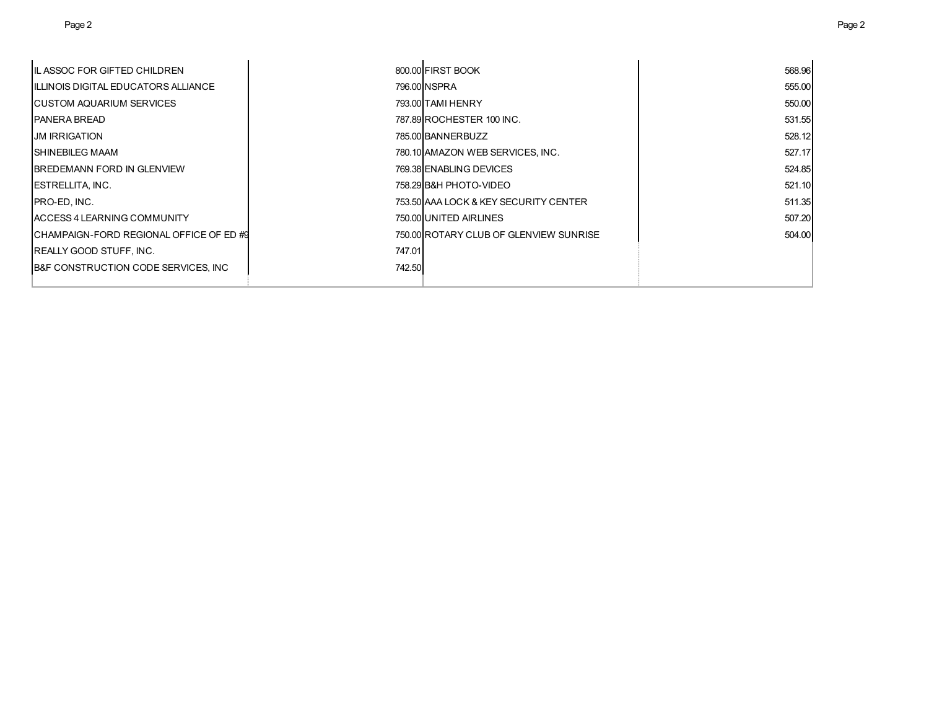| IIL ASSOC FOR GIFTED CHILDREN           |        | 800.00 FIRST BOOK                      | 568.96 |
|-----------------------------------------|--------|----------------------------------------|--------|
| TILLINOIS DIGITAL EDUCATORS ALLIANCE    |        | 796.00 NSPRA                           | 555.00 |
| <b>ICUSTOM AQUARIUM SERVICES</b>        |        | 793.00 TAMI HENRY                      | 550.00 |
| IPANERA BREAD                           |        | 787.89 ROCHESTER 100 INC.              | 531.55 |
| IJM IRRIGATION                          |        | 785.00 BANNERBUZZ                      | 528.12 |
| <b>ISHINEBILEG MAAM</b>                 |        | 780.10 AMAZON WEB SERVICES, INC.       | 527.17 |
| <b>IBREDEMANN FORD IN GLENVIEW</b>      |        | 769.38 ENABLING DEVICES                | 524.85 |
| <b>IESTRELLITA. INC.</b>                |        | 758.29 B&H PHOTO-VIDEO                 | 521.10 |
| <b>IPRO-ED. INC.</b>                    |        | 753.50 AAA LOCK & KEY SECURITY CENTER  | 511.35 |
| <b>ACCESS 4 LEARNING COMMUNITY</b>      |        | 750.00 UNITED AIRLINES                 | 507.20 |
| ICHAMPAIGN-FORD REGIONAL OFFICE OF ED#9 |        | 750.00 ROTARY CLUB OF GLENVIEW SUNRISE | 504.00 |
| <b>REALLY GOOD STUFF, INC.</b>          | 747.01 |                                        |        |
| B&F CONSTRUCTION CODE SERVICES, INC.    | 742.50 |                                        |        |
|                                         |        |                                        |        |